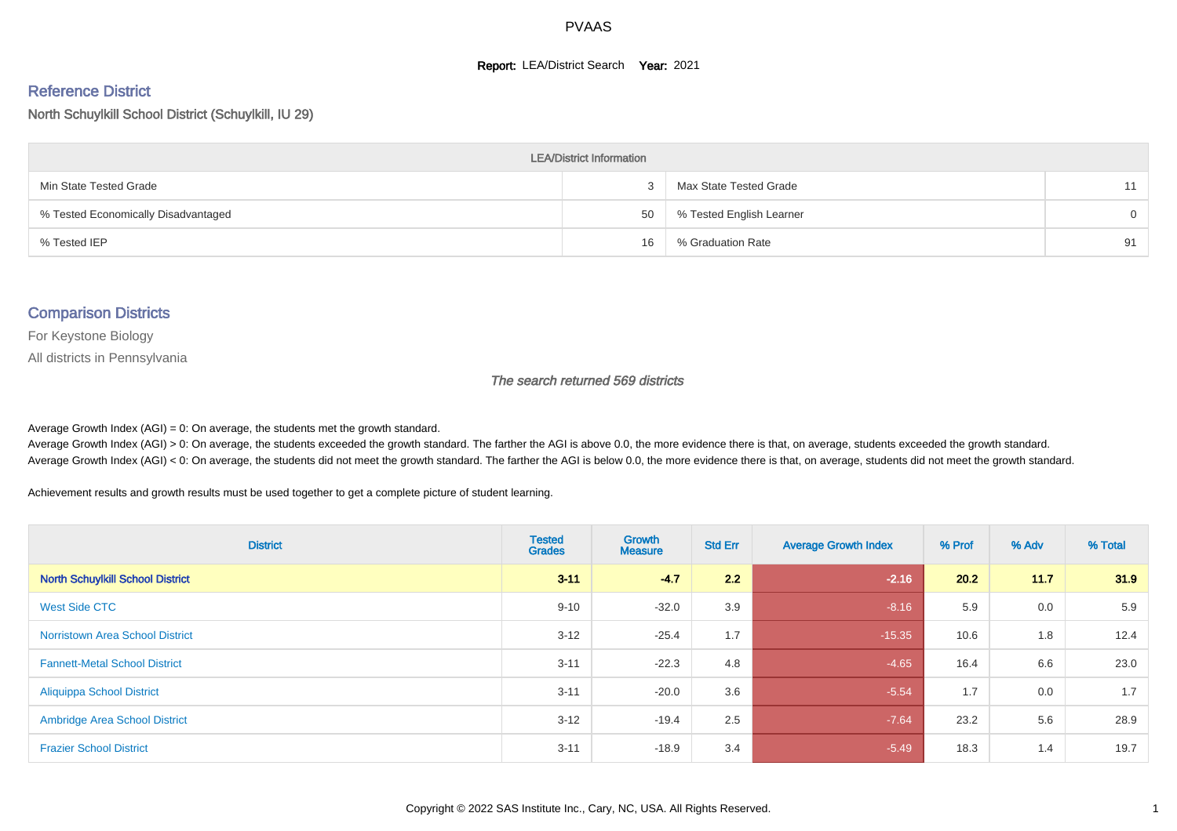#### **Report: LEA/District Search Year: 2021**

# Reference District

North Schuylkill School District (Schuylkill, IU 29)

| <b>LEA/District Information</b>     |    |                          |          |  |  |  |  |  |  |  |
|-------------------------------------|----|--------------------------|----------|--|--|--|--|--|--|--|
| Min State Tested Grade              |    | Max State Tested Grade   | 11       |  |  |  |  |  |  |  |
| % Tested Economically Disadvantaged | 50 | % Tested English Learner | $\Omega$ |  |  |  |  |  |  |  |
| % Tested IEP                        | 16 | % Graduation Rate        | 91       |  |  |  |  |  |  |  |

#### Comparison Districts

For Keystone Biology

All districts in Pennsylvania

The search returned 569 districts

Average Growth Index  $(AGI) = 0$ : On average, the students met the growth standard.

Average Growth Index (AGI) > 0: On average, the students exceeded the growth standard. The farther the AGI is above 0.0, the more evidence there is that, on average, students exceeded the growth standard. Average Growth Index (AGI) < 0: On average, the students did not meet the growth standard. The farther the AGI is below 0.0, the more evidence there is that, on average, students did not meet the growth standard.

Achievement results and growth results must be used together to get a complete picture of student learning.

| <b>District</b>                         | <b>Tested</b><br><b>Grades</b> | Growth<br><b>Measure</b> | <b>Std Err</b> | <b>Average Growth Index</b> | % Prof | % Adv | % Total |
|-----------------------------------------|--------------------------------|--------------------------|----------------|-----------------------------|--------|-------|---------|
| <b>North Schuylkill School District</b> | $3 - 11$                       | $-4.7$                   | 2.2            | $-2.16$                     | 20.2   | 11.7  | 31.9    |
| West Side CTC                           | $9 - 10$                       | $-32.0$                  | 3.9            | $-8.16$                     | 5.9    | 0.0   | 5.9     |
| <b>Norristown Area School District</b>  | $3 - 12$                       | $-25.4$                  | 1.7            | $-15.35$                    | 10.6   | 1.8   | 12.4    |
| <b>Fannett-Metal School District</b>    | $3 - 11$                       | $-22.3$                  | 4.8            | $-4.65$                     | 16.4   | 6.6   | 23.0    |
| <b>Aliquippa School District</b>        | $3 - 11$                       | $-20.0$                  | 3.6            | $-5.54$                     | 1.7    | 0.0   | 1.7     |
| <b>Ambridge Area School District</b>    | $3 - 12$                       | $-19.4$                  | 2.5            | $-7.64$                     | 23.2   | 5.6   | 28.9    |
| <b>Frazier School District</b>          | $3 - 11$                       | $-18.9$                  | 3.4            | $-5.49$                     | 18.3   | 1.4   | 19.7    |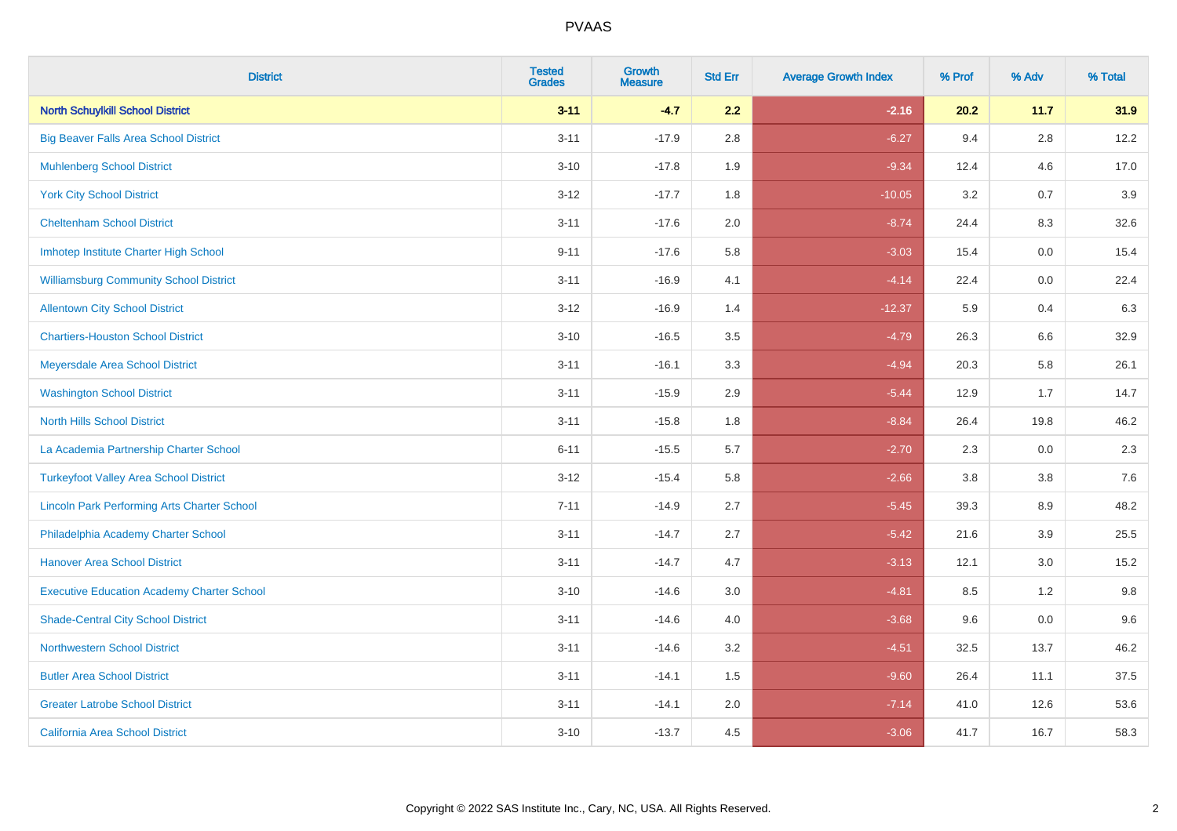| <b>District</b>                                    | <b>Tested</b><br><b>Grades</b> | <b>Growth</b><br><b>Measure</b> | <b>Std Err</b> | <b>Average Growth Index</b> | % Prof | % Adv   | % Total |
|----------------------------------------------------|--------------------------------|---------------------------------|----------------|-----------------------------|--------|---------|---------|
| <b>North Schuylkill School District</b>            | $3 - 11$                       | $-4.7$                          | 2.2            | $-2.16$                     | 20.2   | 11.7    | 31.9    |
| <b>Big Beaver Falls Area School District</b>       | $3 - 11$                       | $-17.9$                         | 2.8            | $-6.27$                     | 9.4    | 2.8     | 12.2    |
| <b>Muhlenberg School District</b>                  | $3 - 10$                       | $-17.8$                         | 1.9            | $-9.34$                     | 12.4   | 4.6     | 17.0    |
| <b>York City School District</b>                   | $3-12$                         | $-17.7$                         | 1.8            | $-10.05$                    | 3.2    | 0.7     | 3.9     |
| <b>Cheltenham School District</b>                  | $3 - 11$                       | $-17.6$                         | 2.0            | $-8.74$                     | 24.4   | 8.3     | 32.6    |
| Imhotep Institute Charter High School              | $9 - 11$                       | $-17.6$                         | 5.8            | $-3.03$                     | 15.4   | 0.0     | 15.4    |
| <b>Williamsburg Community School District</b>      | $3 - 11$                       | $-16.9$                         | 4.1            | $-4.14$                     | 22.4   | $0.0\,$ | 22.4    |
| <b>Allentown City School District</b>              | $3 - 12$                       | $-16.9$                         | 1.4            | $-12.37$                    | 5.9    | 0.4     | 6.3     |
| <b>Chartiers-Houston School District</b>           | $3 - 10$                       | $-16.5$                         | 3.5            | $-4.79$                     | 26.3   | 6.6     | 32.9    |
| Meyersdale Area School District                    | $3 - 11$                       | $-16.1$                         | 3.3            | $-4.94$                     | 20.3   | 5.8     | 26.1    |
| <b>Washington School District</b>                  | $3 - 11$                       | $-15.9$                         | 2.9            | $-5.44$                     | 12.9   | 1.7     | 14.7    |
| <b>North Hills School District</b>                 | $3 - 11$                       | $-15.8$                         | 1.8            | $-8.84$                     | 26.4   | 19.8    | 46.2    |
| La Academia Partnership Charter School             | $6 - 11$                       | $-15.5$                         | 5.7            | $-2.70$                     | 2.3    | 0.0     | 2.3     |
| <b>Turkeyfoot Valley Area School District</b>      | $3 - 12$                       | $-15.4$                         | 5.8            | $-2.66$                     | 3.8    | $3.8\,$ | 7.6     |
| <b>Lincoln Park Performing Arts Charter School</b> | $7 - 11$                       | $-14.9$                         | 2.7            | $-5.45$                     | 39.3   | 8.9     | 48.2    |
| Philadelphia Academy Charter School                | $3 - 11$                       | $-14.7$                         | 2.7            | $-5.42$                     | 21.6   | 3.9     | 25.5    |
| <b>Hanover Area School District</b>                | $3 - 11$                       | $-14.7$                         | 4.7            | $-3.13$                     | 12.1   | 3.0     | 15.2    |
| <b>Executive Education Academy Charter School</b>  | $3 - 10$                       | $-14.6$                         | 3.0            | $-4.81$                     | 8.5    | $1.2$   | 9.8     |
| <b>Shade-Central City School District</b>          | $3 - 11$                       | $-14.6$                         | 4.0            | $-3.68$                     | 9.6    | 0.0     | 9.6     |
| <b>Northwestern School District</b>                | $3 - 11$                       | $-14.6$                         | 3.2            | $-4.51$                     | 32.5   | 13.7    | 46.2    |
| <b>Butler Area School District</b>                 | $3 - 11$                       | $-14.1$                         | 1.5            | $-9.60$                     | 26.4   | 11.1    | 37.5    |
| <b>Greater Latrobe School District</b>             | $3 - 11$                       | $-14.1$                         | 2.0            | $-7.14$                     | 41.0   | 12.6    | 53.6    |
| <b>California Area School District</b>             | $3 - 10$                       | $-13.7$                         | 4.5            | $-3.06$                     | 41.7   | 16.7    | 58.3    |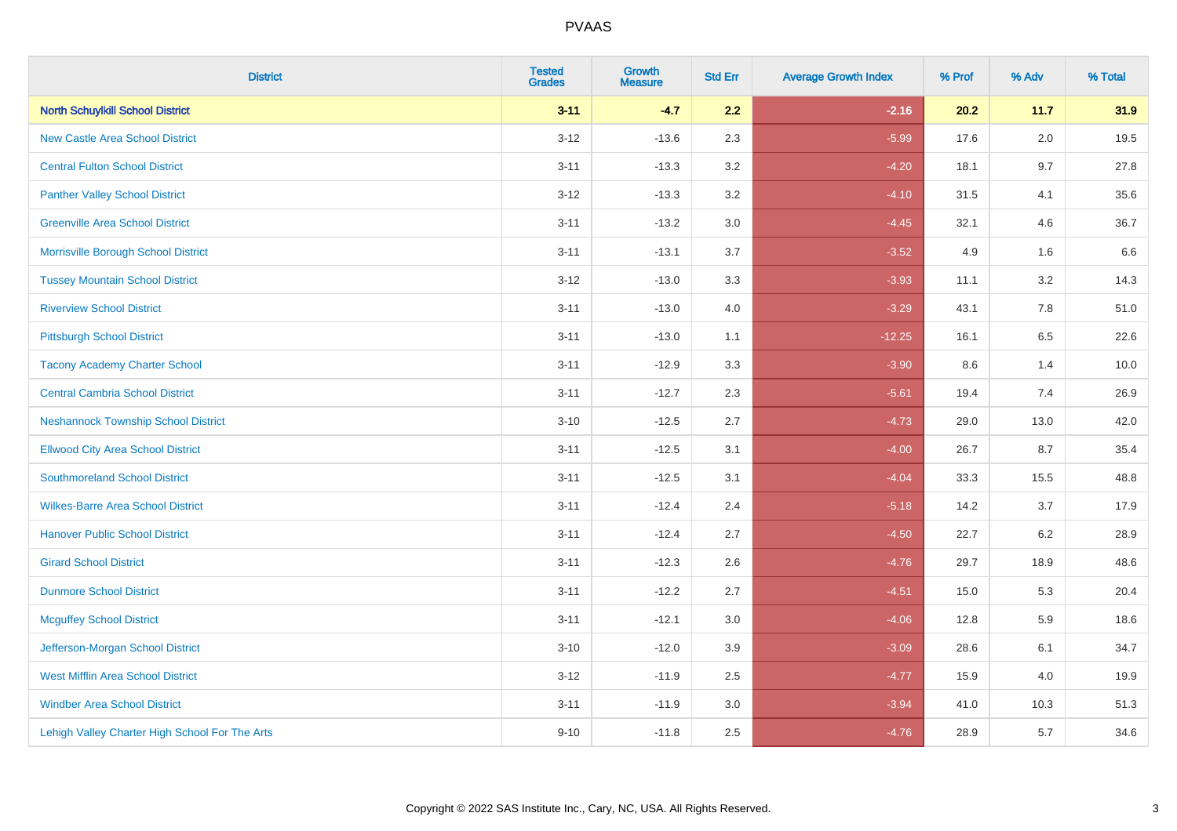| <b>District</b>                                | <b>Tested</b><br><b>Grades</b> | Growth<br><b>Measure</b> | <b>Std Err</b> | <b>Average Growth Index</b> | % Prof | % Adv   | % Total |
|------------------------------------------------|--------------------------------|--------------------------|----------------|-----------------------------|--------|---------|---------|
| <b>North Schuylkill School District</b>        | $3 - 11$                       | $-4.7$                   | 2.2            | $-2.16$                     | 20.2   | 11.7    | 31.9    |
| <b>New Castle Area School District</b>         | $3 - 12$                       | $-13.6$                  | 2.3            | $-5.99$                     | 17.6   | 2.0     | 19.5    |
| <b>Central Fulton School District</b>          | $3 - 11$                       | $-13.3$                  | 3.2            | $-4.20$                     | 18.1   | 9.7     | 27.8    |
| <b>Panther Valley School District</b>          | $3-12$                         | $-13.3$                  | 3.2            | $-4.10$                     | 31.5   | 4.1     | 35.6    |
| <b>Greenville Area School District</b>         | $3 - 11$                       | $-13.2$                  | 3.0            | $-4.45$                     | 32.1   | 4.6     | 36.7    |
| Morrisville Borough School District            | $3 - 11$                       | $-13.1$                  | 3.7            | $-3.52$                     | 4.9    | 1.6     | 6.6     |
| <b>Tussey Mountain School District</b>         | $3 - 12$                       | $-13.0$                  | 3.3            | $-3.93$                     | 11.1   | $3.2\,$ | 14.3    |
| <b>Riverview School District</b>               | $3 - 11$                       | $-13.0$                  | 4.0            | $-3.29$                     | 43.1   | 7.8     | 51.0    |
| <b>Pittsburgh School District</b>              | $3 - 11$                       | $-13.0$                  | 1.1            | $-12.25$                    | 16.1   | 6.5     | 22.6    |
| <b>Tacony Academy Charter School</b>           | $3 - 11$                       | $-12.9$                  | 3.3            | $-3.90$                     | 8.6    | 1.4     | 10.0    |
| <b>Central Cambria School District</b>         | $3 - 11$                       | $-12.7$                  | 2.3            | $-5.61$                     | 19.4   | 7.4     | 26.9    |
| <b>Neshannock Township School District</b>     | $3 - 10$                       | $-12.5$                  | 2.7            | $-4.73$                     | 29.0   | 13.0    | 42.0    |
| <b>Ellwood City Area School District</b>       | $3 - 11$                       | $-12.5$                  | 3.1            | $-4.00$                     | 26.7   | 8.7     | 35.4    |
| <b>Southmoreland School District</b>           | $3 - 11$                       | $-12.5$                  | 3.1            | $-4.04$                     | 33.3   | 15.5    | 48.8    |
| <b>Wilkes-Barre Area School District</b>       | $3 - 11$                       | $-12.4$                  | 2.4            | $-5.18$                     | 14.2   | 3.7     | 17.9    |
| <b>Hanover Public School District</b>          | $3 - 11$                       | $-12.4$                  | 2.7            | $-4.50$                     | 22.7   | 6.2     | 28.9    |
| <b>Girard School District</b>                  | $3 - 11$                       | $-12.3$                  | 2.6            | $-4.76$                     | 29.7   | 18.9    | 48.6    |
| <b>Dunmore School District</b>                 | $3 - 11$                       | $-12.2$                  | 2.7            | $-4.51$                     | 15.0   | 5.3     | 20.4    |
| <b>Mcguffey School District</b>                | $3 - 11$                       | $-12.1$                  | 3.0            | $-4.06$                     | 12.8   | 5.9     | 18.6    |
| Jefferson-Morgan School District               | $3 - 10$                       | $-12.0$                  | 3.9            | $-3.09$                     | 28.6   | 6.1     | 34.7    |
| <b>West Mifflin Area School District</b>       | $3-12$                         | $-11.9$                  | 2.5            | $-4.77$                     | 15.9   | 4.0     | 19.9    |
| <b>Windber Area School District</b>            | $3 - 11$                       | $-11.9$                  | 3.0            | $-3.94$                     | 41.0   | 10.3    | 51.3    |
| Lehigh Valley Charter High School For The Arts | $9 - 10$                       | $-11.8$                  | 2.5            | $-4.76$                     | 28.9   | 5.7     | 34.6    |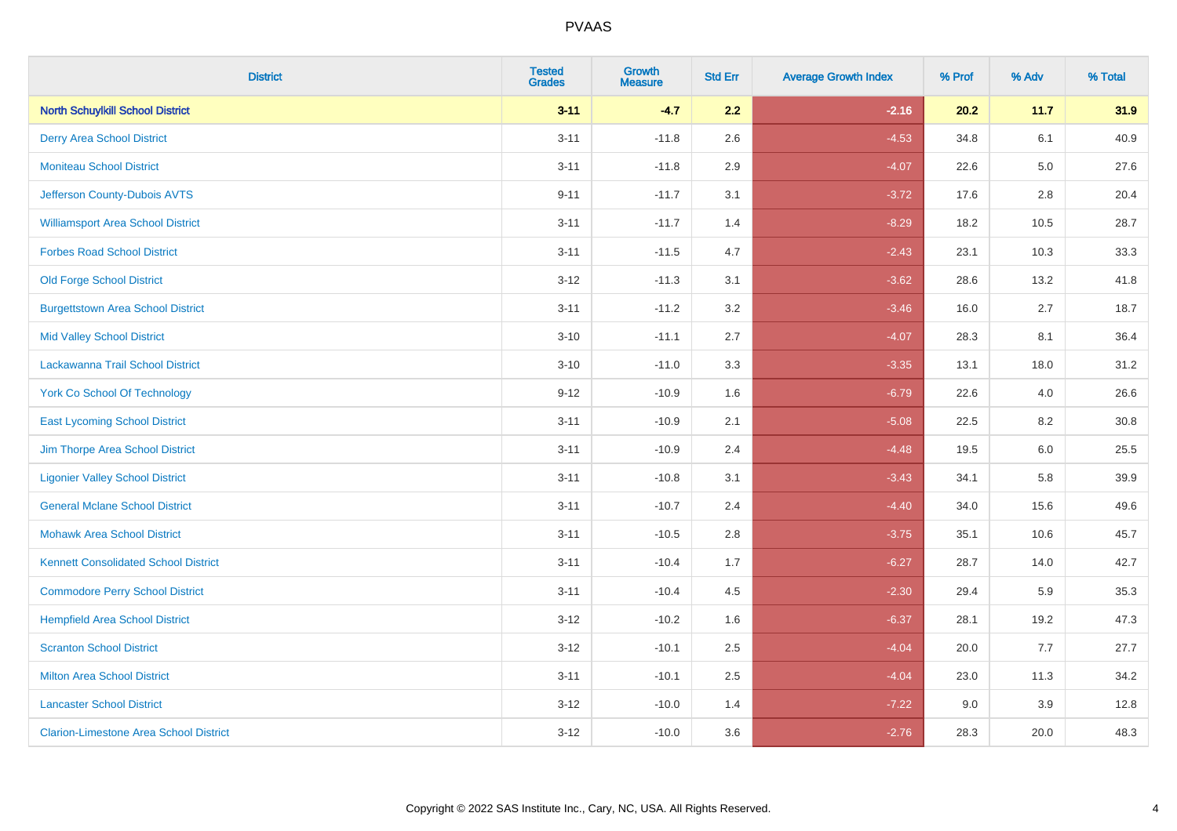| <b>District</b>                               | <b>Tested</b><br><b>Grades</b> | Growth<br><b>Measure</b> | <b>Std Err</b> | <b>Average Growth Index</b> | % Prof | % Adv   | % Total |
|-----------------------------------------------|--------------------------------|--------------------------|----------------|-----------------------------|--------|---------|---------|
| <b>North Schuylkill School District</b>       | $3 - 11$                       | $-4.7$                   | 2.2            | $-2.16$                     | 20.2   | 11.7    | 31.9    |
| <b>Derry Area School District</b>             | $3 - 11$                       | $-11.8$                  | 2.6            | $-4.53$                     | 34.8   | 6.1     | 40.9    |
| <b>Moniteau School District</b>               | $3 - 11$                       | $-11.8$                  | 2.9            | $-4.07$                     | 22.6   | $5.0\,$ | 27.6    |
| Jefferson County-Dubois AVTS                  | $9 - 11$                       | $-11.7$                  | 3.1            | $-3.72$                     | 17.6   | $2.8\,$ | 20.4    |
| <b>Williamsport Area School District</b>      | $3 - 11$                       | $-11.7$                  | 1.4            | $-8.29$                     | 18.2   | 10.5    | 28.7    |
| <b>Forbes Road School District</b>            | $3 - 11$                       | $-11.5$                  | 4.7            | $-2.43$                     | 23.1   | 10.3    | 33.3    |
| <b>Old Forge School District</b>              | $3 - 12$                       | $-11.3$                  | 3.1            | $-3.62$                     | 28.6   | 13.2    | 41.8    |
| <b>Burgettstown Area School District</b>      | $3 - 11$                       | $-11.2$                  | 3.2            | $-3.46$                     | 16.0   | 2.7     | 18.7    |
| <b>Mid Valley School District</b>             | $3 - 10$                       | $-11.1$                  | 2.7            | $-4.07$                     | 28.3   | 8.1     | 36.4    |
| Lackawanna Trail School District              | $3 - 10$                       | $-11.0$                  | 3.3            | $-3.35$                     | 13.1   | 18.0    | 31.2    |
| <b>York Co School Of Technology</b>           | $9 - 12$                       | $-10.9$                  | 1.6            | $-6.79$                     | 22.6   | 4.0     | 26.6    |
| <b>East Lycoming School District</b>          | $3 - 11$                       | $-10.9$                  | 2.1            | $-5.08$                     | 22.5   | 8.2     | 30.8    |
| Jim Thorpe Area School District               | $3 - 11$                       | $-10.9$                  | 2.4            | $-4.48$                     | 19.5   | 6.0     | 25.5    |
| <b>Ligonier Valley School District</b>        | $3 - 11$                       | $-10.8$                  | 3.1            | $-3.43$                     | 34.1   | 5.8     | 39.9    |
| <b>General Mclane School District</b>         | $3 - 11$                       | $-10.7$                  | 2.4            | $-4.40$                     | 34.0   | 15.6    | 49.6    |
| <b>Mohawk Area School District</b>            | $3 - 11$                       | $-10.5$                  | 2.8            | $-3.75$                     | 35.1   | 10.6    | 45.7    |
| <b>Kennett Consolidated School District</b>   | $3 - 11$                       | $-10.4$                  | 1.7            | $-6.27$                     | 28.7   | 14.0    | 42.7    |
| <b>Commodore Perry School District</b>        | $3 - 11$                       | $-10.4$                  | 4.5            | $-2.30$                     | 29.4   | 5.9     | 35.3    |
| <b>Hempfield Area School District</b>         | $3 - 12$                       | $-10.2$                  | 1.6            | $-6.37$                     | 28.1   | 19.2    | 47.3    |
| <b>Scranton School District</b>               | $3 - 12$                       | $-10.1$                  | 2.5            | $-4.04$                     | 20.0   | 7.7     | 27.7    |
| <b>Milton Area School District</b>            | $3 - 11$                       | $-10.1$                  | 2.5            | $-4.04$                     | 23.0   | 11.3    | 34.2    |
| <b>Lancaster School District</b>              | $3 - 12$                       | $-10.0$                  | 1.4            | $-7.22$                     | 9.0    | 3.9     | 12.8    |
| <b>Clarion-Limestone Area School District</b> | $3 - 12$                       | $-10.0$                  | 3.6            | $-2.76$                     | 28.3   | 20.0    | 48.3    |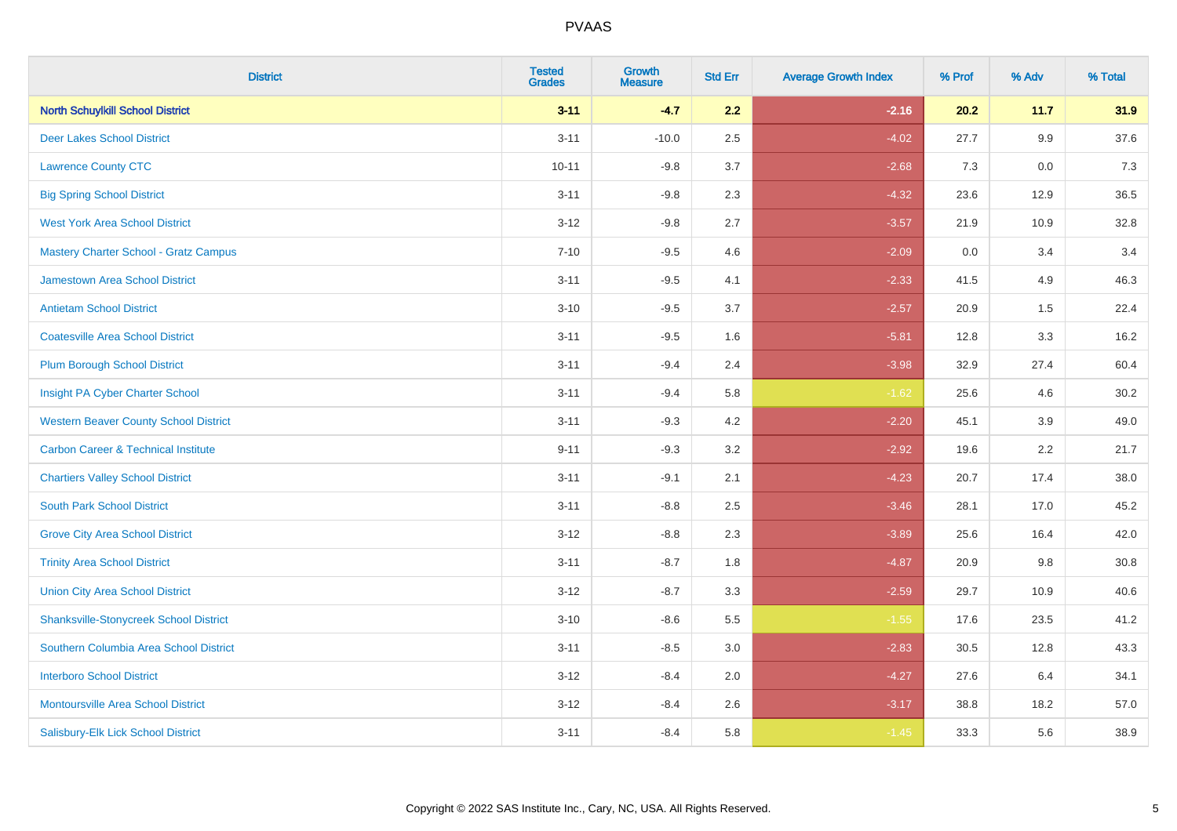| <b>District</b>                                | <b>Tested</b><br><b>Grades</b> | <b>Growth</b><br><b>Measure</b> | <b>Std Err</b> | <b>Average Growth Index</b> | % Prof | % Adv   | % Total |
|------------------------------------------------|--------------------------------|---------------------------------|----------------|-----------------------------|--------|---------|---------|
| <b>North Schuylkill School District</b>        | $3 - 11$                       | $-4.7$                          | 2.2            | $-2.16$                     | 20.2   | 11.7    | 31.9    |
| <b>Deer Lakes School District</b>              | $3 - 11$                       | $-10.0$                         | 2.5            | $-4.02$                     | 27.7   | $9.9\,$ | 37.6    |
| <b>Lawrence County CTC</b>                     | $10 - 11$                      | $-9.8$                          | 3.7            | $-2.68$                     | 7.3    | 0.0     | 7.3     |
| <b>Big Spring School District</b>              | $3 - 11$                       | $-9.8$                          | 2.3            | $-4.32$                     | 23.6   | 12.9    | 36.5    |
| <b>West York Area School District</b>          | $3 - 12$                       | $-9.8$                          | 2.7            | $-3.57$                     | 21.9   | 10.9    | 32.8    |
| <b>Mastery Charter School - Gratz Campus</b>   | $7 - 10$                       | $-9.5$                          | 4.6            | $-2.09$                     | 0.0    | 3.4     | 3.4     |
| Jamestown Area School District                 | $3 - 11$                       | $-9.5$                          | 4.1            | $-2.33$                     | 41.5   | 4.9     | 46.3    |
| <b>Antietam School District</b>                | $3 - 10$                       | $-9.5$                          | 3.7            | $-2.57$                     | 20.9   | 1.5     | 22.4    |
| <b>Coatesville Area School District</b>        | $3 - 11$                       | $-9.5$                          | 1.6            | $-5.81$                     | 12.8   | 3.3     | 16.2    |
| <b>Plum Borough School District</b>            | $3 - 11$                       | $-9.4$                          | 2.4            | $-3.98$                     | 32.9   | 27.4    | 60.4    |
| Insight PA Cyber Charter School                | $3 - 11$                       | $-9.4$                          | 5.8            | $-1.62$                     | 25.6   | 4.6     | 30.2    |
| <b>Western Beaver County School District</b>   | $3 - 11$                       | $-9.3$                          | 4.2            | $-2.20$                     | 45.1   | 3.9     | 49.0    |
| <b>Carbon Career &amp; Technical Institute</b> | $9 - 11$                       | $-9.3$                          | 3.2            | $-2.92$                     | 19.6   | 2.2     | 21.7    |
| <b>Chartiers Valley School District</b>        | $3 - 11$                       | $-9.1$                          | 2.1            | $-4.23$                     | 20.7   | 17.4    | 38.0    |
| <b>South Park School District</b>              | $3 - 11$                       | $-8.8$                          | 2.5            | $-3.46$                     | 28.1   | 17.0    | 45.2    |
| <b>Grove City Area School District</b>         | $3 - 12$                       | $-8.8$                          | 2.3            | $-3.89$                     | 25.6   | 16.4    | 42.0    |
| <b>Trinity Area School District</b>            | $3 - 11$                       | $-8.7$                          | 1.8            | $-4.87$                     | 20.9   | 9.8     | 30.8    |
| <b>Union City Area School District</b>         | $3 - 12$                       | $-8.7$                          | 3.3            | $-2.59$                     | 29.7   | 10.9    | 40.6    |
| <b>Shanksville-Stonycreek School District</b>  | $3 - 10$                       | $-8.6$                          | 5.5            | $-1.55$                     | 17.6   | 23.5    | 41.2    |
| Southern Columbia Area School District         | $3 - 11$                       | $-8.5$                          | 3.0            | $-2.83$                     | 30.5   | 12.8    | 43.3    |
| <b>Interboro School District</b>               | $3 - 12$                       | $-8.4$                          | 2.0            | $-4.27$                     | 27.6   | 6.4     | 34.1    |
| <b>Montoursville Area School District</b>      | $3 - 12$                       | $-8.4$                          | 2.6            | $-3.17$                     | 38.8   | 18.2    | 57.0    |
| Salisbury-Elk Lick School District             | $3 - 11$                       | $-8.4$                          | 5.8            | $-1.45$                     | 33.3   | 5.6     | 38.9    |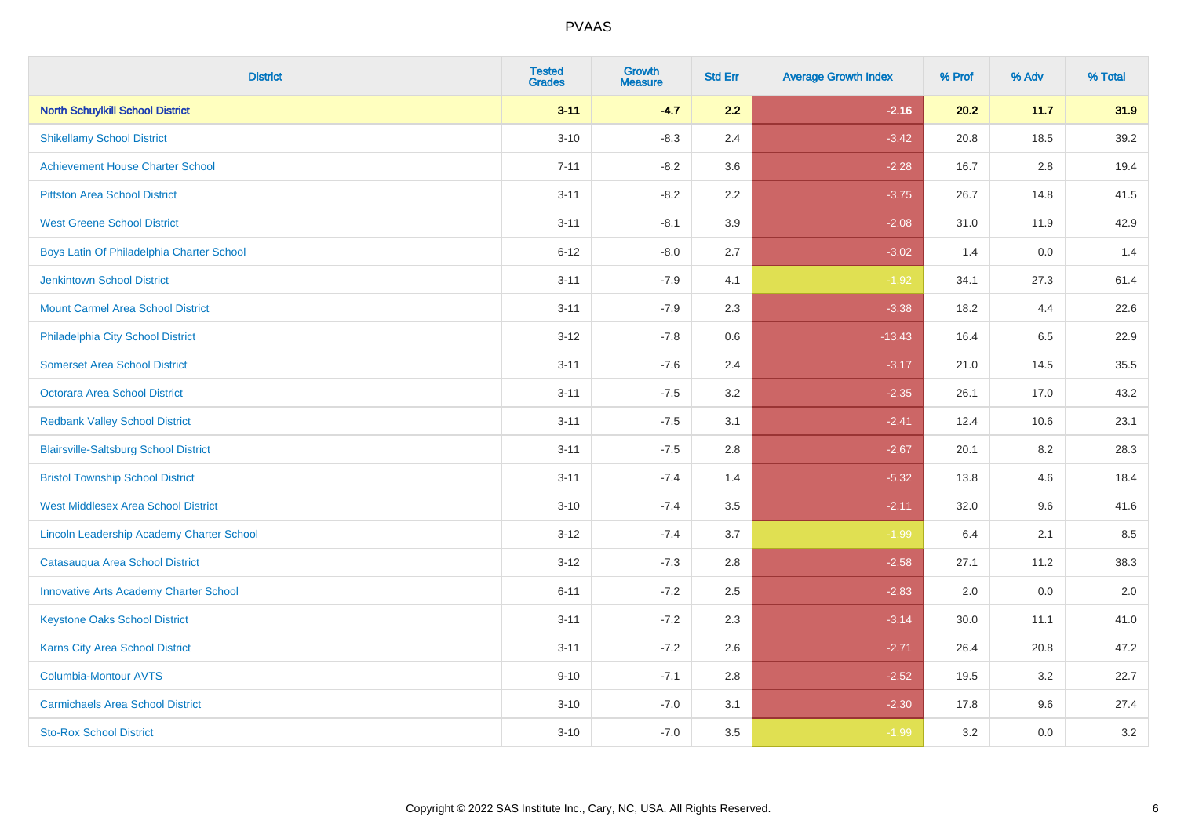| <b>District</b>                               | <b>Tested</b><br><b>Grades</b> | <b>Growth</b><br><b>Measure</b> | <b>Std Err</b> | <b>Average Growth Index</b> | % Prof | % Adv   | % Total |
|-----------------------------------------------|--------------------------------|---------------------------------|----------------|-----------------------------|--------|---------|---------|
| <b>North Schuylkill School District</b>       | $3 - 11$                       | $-4.7$                          | 2.2            | $-2.16$                     | 20.2   | 11.7    | 31.9    |
| <b>Shikellamy School District</b>             | $3 - 10$                       | $-8.3$                          | 2.4            | $-3.42$                     | 20.8   | 18.5    | 39.2    |
| <b>Achievement House Charter School</b>       | $7 - 11$                       | $-8.2$                          | 3.6            | $-2.28$                     | 16.7   | 2.8     | 19.4    |
| <b>Pittston Area School District</b>          | $3 - 11$                       | $-8.2$                          | 2.2            | $-3.75$                     | 26.7   | 14.8    | 41.5    |
| <b>West Greene School District</b>            | $3 - 11$                       | $-8.1$                          | 3.9            | $-2.08$                     | 31.0   | 11.9    | 42.9    |
| Boys Latin Of Philadelphia Charter School     | $6 - 12$                       | $-8.0$                          | 2.7            | $-3.02$                     | 1.4    | 0.0     | 1.4     |
| <b>Jenkintown School District</b>             | $3 - 11$                       | $-7.9$                          | 4.1            | $-1.92$                     | 34.1   | 27.3    | 61.4    |
| <b>Mount Carmel Area School District</b>      | $3 - 11$                       | $-7.9$                          | 2.3            | $-3.38$                     | 18.2   | 4.4     | 22.6    |
| Philadelphia City School District             | $3 - 12$                       | $-7.8$                          | 0.6            | $-13.43$                    | 16.4   | 6.5     | 22.9    |
| <b>Somerset Area School District</b>          | $3 - 11$                       | $-7.6$                          | 2.4            | $-3.17$                     | 21.0   | 14.5    | 35.5    |
| <b>Octorara Area School District</b>          | $3 - 11$                       | $-7.5$                          | 3.2            | $-2.35$                     | 26.1   | 17.0    | 43.2    |
| <b>Redbank Valley School District</b>         | $3 - 11$                       | $-7.5$                          | 3.1            | $-2.41$                     | 12.4   | 10.6    | 23.1    |
| <b>Blairsville-Saltsburg School District</b>  | $3 - 11$                       | $-7.5$                          | 2.8            | $-2.67$                     | 20.1   | $8.2\,$ | 28.3    |
| <b>Bristol Township School District</b>       | $3 - 11$                       | $-7.4$                          | 1.4            | $-5.32$                     | 13.8   | 4.6     | 18.4    |
| <b>West Middlesex Area School District</b>    | $3 - 10$                       | $-7.4$                          | 3.5            | $-2.11$                     | 32.0   | 9.6     | 41.6    |
| Lincoln Leadership Academy Charter School     | $3 - 12$                       | $-7.4$                          | 3.7            | $-1.99$                     | 6.4    | 2.1     | 8.5     |
| Catasauqua Area School District               | $3 - 12$                       | $-7.3$                          | 2.8            | $-2.58$                     | 27.1   | 11.2    | 38.3    |
| <b>Innovative Arts Academy Charter School</b> | $6 - 11$                       | $-7.2$                          | 2.5            | $-2.83$                     | 2.0    | 0.0     | 2.0     |
| <b>Keystone Oaks School District</b>          | $3 - 11$                       | $-7.2$                          | 2.3            | $-3.14$                     | 30.0   | 11.1    | 41.0    |
| Karns City Area School District               | $3 - 11$                       | $-7.2$                          | 2.6            | $-2.71$                     | 26.4   | 20.8    | 47.2    |
| <b>Columbia-Montour AVTS</b>                  | $9 - 10$                       | $-7.1$                          | 2.8            | $-2.52$                     | 19.5   | 3.2     | 22.7    |
| <b>Carmichaels Area School District</b>       | $3 - 10$                       | $-7.0$                          | 3.1            | $-2.30$                     | 17.8   | 9.6     | 27.4    |
| <b>Sto-Rox School District</b>                | $3 - 10$                       | $-7.0$                          | 3.5            | $-1.99$                     | 3.2    | 0.0     | 3.2     |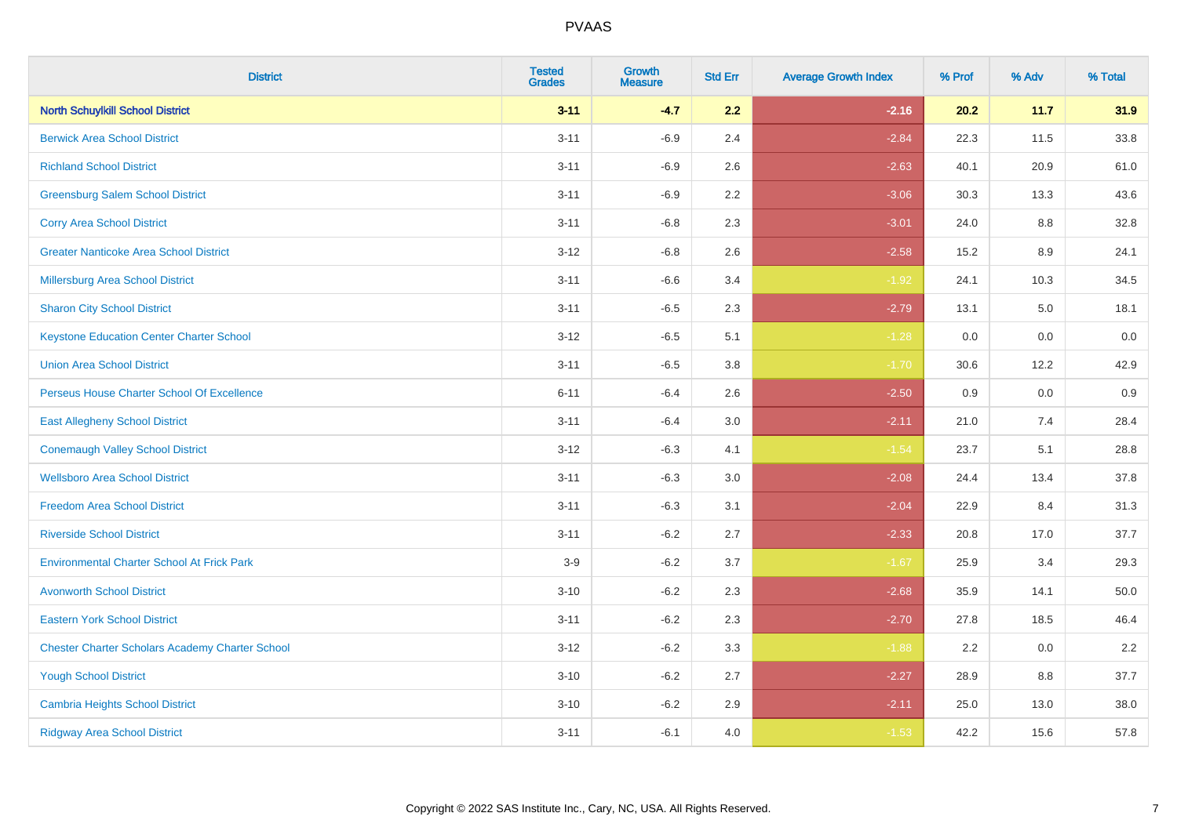| <b>District</b>                                        | <b>Tested</b><br><b>Grades</b> | <b>Growth</b><br><b>Measure</b> | <b>Std Err</b> | <b>Average Growth Index</b> | % Prof | % Adv   | % Total  |
|--------------------------------------------------------|--------------------------------|---------------------------------|----------------|-----------------------------|--------|---------|----------|
| <b>North Schuylkill School District</b>                | $3 - 11$                       | $-4.7$                          | 2.2            | $-2.16$                     | 20.2   | 11.7    | 31.9     |
| <b>Berwick Area School District</b>                    | $3 - 11$                       | $-6.9$                          | 2.4            | $-2.84$                     | 22.3   | 11.5    | 33.8     |
| <b>Richland School District</b>                        | $3 - 11$                       | $-6.9$                          | 2.6            | $-2.63$                     | 40.1   | 20.9    | 61.0     |
| <b>Greensburg Salem School District</b>                | $3 - 11$                       | $-6.9$                          | 2.2            | $-3.06$                     | 30.3   | 13.3    | 43.6     |
| <b>Corry Area School District</b>                      | $3 - 11$                       | $-6.8$                          | 2.3            | $-3.01$                     | 24.0   | 8.8     | 32.8     |
| <b>Greater Nanticoke Area School District</b>          | $3 - 12$                       | $-6.8$                          | 2.6            | $-2.58$                     | 15.2   | $8.9\,$ | 24.1     |
| Millersburg Area School District                       | $3 - 11$                       | $-6.6$                          | 3.4            | $-1.92$                     | 24.1   | 10.3    | 34.5     |
| <b>Sharon City School District</b>                     | $3 - 11$                       | $-6.5$                          | 2.3            | $-2.79$                     | 13.1   | 5.0     | 18.1     |
| <b>Keystone Education Center Charter School</b>        | $3 - 12$                       | $-6.5$                          | 5.1            | $-1.28$                     | 0.0    | 0.0     | $0.0\,$  |
| <b>Union Area School District</b>                      | $3 - 11$                       | $-6.5$                          | 3.8            | $-1.70$                     | 30.6   | 12.2    | 42.9     |
| Perseus House Charter School Of Excellence             | $6 - 11$                       | $-6.4$                          | 2.6            | $-2.50$                     | 0.9    | 0.0     | 0.9      |
| <b>East Allegheny School District</b>                  | $3 - 11$                       | $-6.4$                          | 3.0            | $-2.11$                     | 21.0   | 7.4     | 28.4     |
| <b>Conemaugh Valley School District</b>                | $3 - 12$                       | $-6.3$                          | 4.1            | $-1.54$                     | 23.7   | 5.1     | 28.8     |
| <b>Wellsboro Area School District</b>                  | $3 - 11$                       | $-6.3$                          | 3.0            | $-2.08$                     | 24.4   | 13.4    | 37.8     |
| <b>Freedom Area School District</b>                    | $3 - 11$                       | $-6.3$                          | 3.1            | $-2.04$                     | 22.9   | 8.4     | 31.3     |
| <b>Riverside School District</b>                       | $3 - 11$                       | $-6.2$                          | 2.7            | $-2.33$                     | 20.8   | 17.0    | 37.7     |
| <b>Environmental Charter School At Frick Park</b>      | $3-9$                          | $-6.2$                          | 3.7            | $-1.67$                     | 25.9   | 3.4     | 29.3     |
| <b>Avonworth School District</b>                       | $3 - 10$                       | $-6.2$                          | 2.3            | $-2.68$                     | 35.9   | 14.1    | $50.0\,$ |
| <b>Eastern York School District</b>                    | $3 - 11$                       | $-6.2$                          | 2.3            | $-2.70$                     | 27.8   | 18.5    | 46.4     |
| <b>Chester Charter Scholars Academy Charter School</b> | $3 - 12$                       | $-6.2$                          | 3.3            | $-1.88$                     | 2.2    | 0.0     | 2.2      |
| <b>Yough School District</b>                           | $3 - 10$                       | $-6.2$                          | 2.7            | $-2.27$                     | 28.9   | 8.8     | 37.7     |
| <b>Cambria Heights School District</b>                 | $3 - 10$                       | $-6.2$                          | 2.9            | $-2.11$                     | 25.0   | 13.0    | 38.0     |
| <b>Ridgway Area School District</b>                    | $3 - 11$                       | $-6.1$                          | 4.0            | $-1.53$                     | 42.2   | 15.6    | 57.8     |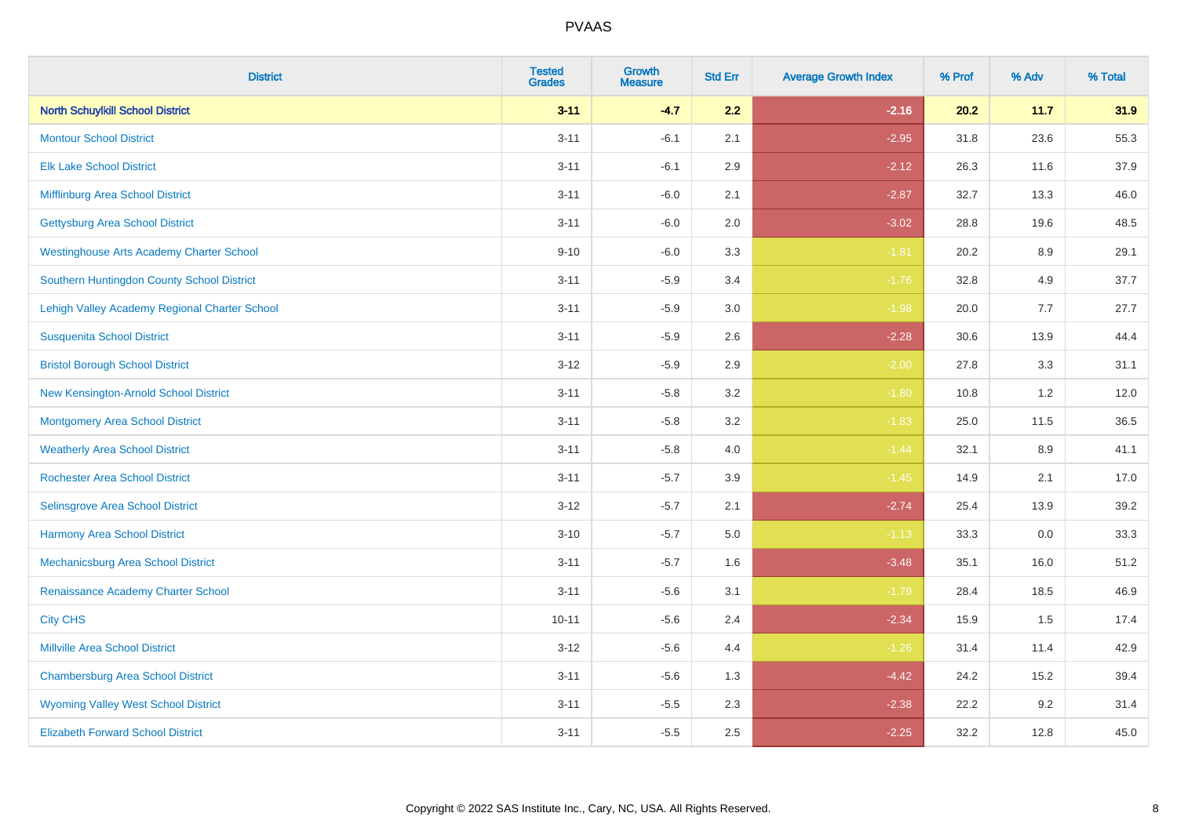| <b>District</b>                                 | <b>Tested</b><br><b>Grades</b> | <b>Growth</b><br><b>Measure</b> | <b>Std Err</b> | <b>Average Growth Index</b> | % Prof | % Adv   | % Total |
|-------------------------------------------------|--------------------------------|---------------------------------|----------------|-----------------------------|--------|---------|---------|
| <b>North Schuylkill School District</b>         | $3 - 11$                       | $-4.7$                          | 2.2            | $-2.16$                     | 20.2   | 11.7    | 31.9    |
| <b>Montour School District</b>                  | $3 - 11$                       | $-6.1$                          | 2.1            | $-2.95$                     | 31.8   | 23.6    | 55.3    |
| <b>Elk Lake School District</b>                 | $3 - 11$                       | $-6.1$                          | 2.9            | $-2.12$                     | 26.3   | 11.6    | 37.9    |
| Mifflinburg Area School District                | $3 - 11$                       | $-6.0$                          | 2.1            | $-2.87$                     | 32.7   | 13.3    | 46.0    |
| <b>Gettysburg Area School District</b>          | $3 - 11$                       | $-6.0$                          | 2.0            | $-3.02$                     | 28.8   | 19.6    | 48.5    |
| <b>Westinghouse Arts Academy Charter School</b> | $9 - 10$                       | $-6.0$                          | 3.3            | $-1.81$                     | 20.2   | $8.9\,$ | 29.1    |
| Southern Huntingdon County School District      | $3 - 11$                       | $-5.9$                          | 3.4            | $-1.76$                     | 32.8   | 4.9     | 37.7    |
| Lehigh Valley Academy Regional Charter School   | $3 - 11$                       | $-5.9$                          | 3.0            | $-1.98$                     | 20.0   | 7.7     | 27.7    |
| <b>Susquenita School District</b>               | $3 - 11$                       | $-5.9$                          | 2.6            | $-2.28$                     | 30.6   | 13.9    | 44.4    |
| <b>Bristol Borough School District</b>          | $3 - 12$                       | $-5.9$                          | 2.9            | $-2.00$                     | 27.8   | 3.3     | 31.1    |
| New Kensington-Arnold School District           | $3 - 11$                       | $-5.8$                          | 3.2            | $-1.80$                     | 10.8   | 1.2     | 12.0    |
| <b>Montgomery Area School District</b>          | $3 - 11$                       | $-5.8$                          | 3.2            | $-1.83$                     | 25.0   | 11.5    | 36.5    |
| <b>Weatherly Area School District</b>           | $3 - 11$                       | $-5.8$                          | 4.0            | $-1.44$                     | 32.1   | 8.9     | 41.1    |
| <b>Rochester Area School District</b>           | $3 - 11$                       | $-5.7$                          | 3.9            | $-1.45$                     | 14.9   | 2.1     | 17.0    |
| Selinsgrove Area School District                | $3 - 12$                       | $-5.7$                          | 2.1            | $-2.74$                     | 25.4   | 13.9    | 39.2    |
| <b>Harmony Area School District</b>             | $3 - 10$                       | $-5.7$                          | 5.0            | $-1.13$                     | 33.3   | $0.0\,$ | 33.3    |
| Mechanicsburg Area School District              | $3 - 11$                       | $-5.7$                          | 1.6            | $-3.48$                     | 35.1   | 16.0    | 51.2    |
| Renaissance Academy Charter School              | $3 - 11$                       | $-5.6$                          | 3.1            | $-1.79$                     | 28.4   | 18.5    | 46.9    |
| <b>City CHS</b>                                 | $10 - 11$                      | $-5.6$                          | 2.4            | $-2.34$                     | 15.9   | 1.5     | 17.4    |
| <b>Millville Area School District</b>           | $3 - 12$                       | $-5.6$                          | 4.4            | $-1.26$                     | 31.4   | 11.4    | 42.9    |
| <b>Chambersburg Area School District</b>        | $3 - 11$                       | $-5.6$                          | 1.3            | $-4.42$                     | 24.2   | 15.2    | 39.4    |
| <b>Wyoming Valley West School District</b>      | $3 - 11$                       | $-5.5$                          | 2.3            | $-2.38$                     | 22.2   | 9.2     | 31.4    |
| <b>Elizabeth Forward School District</b>        | $3 - 11$                       | $-5.5$                          | 2.5            | $-2.25$                     | 32.2   | 12.8    | 45.0    |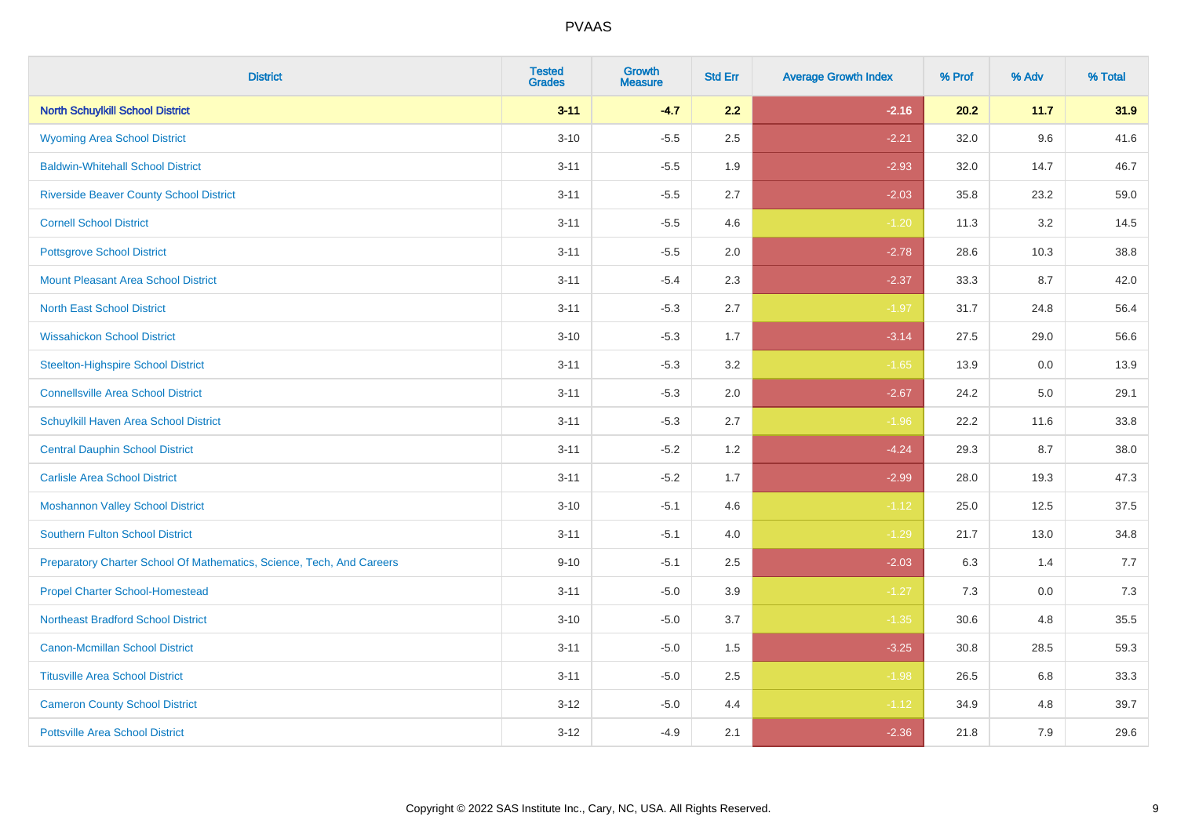| <b>District</b>                                                       | <b>Tested</b><br><b>Grades</b> | Growth<br><b>Measure</b> | <b>Std Err</b> | <b>Average Growth Index</b> | % Prof | % Adv | % Total |
|-----------------------------------------------------------------------|--------------------------------|--------------------------|----------------|-----------------------------|--------|-------|---------|
| <b>North Schuylkill School District</b>                               | $3 - 11$                       | $-4.7$                   | 2.2            | $-2.16$                     | 20.2   | 11.7  | 31.9    |
| <b>Wyoming Area School District</b>                                   | $3 - 10$                       | $-5.5$                   | 2.5            | $-2.21$                     | 32.0   | 9.6   | 41.6    |
| <b>Baldwin-Whitehall School District</b>                              | $3 - 11$                       | $-5.5$                   | 1.9            | $-2.93$                     | 32.0   | 14.7  | 46.7    |
| <b>Riverside Beaver County School District</b>                        | $3 - 11$                       | $-5.5$                   | 2.7            | $-2.03$                     | 35.8   | 23.2  | 59.0    |
| <b>Cornell School District</b>                                        | $3 - 11$                       | $-5.5$                   | 4.6            | $-1.20$                     | 11.3   | 3.2   | 14.5    |
| <b>Pottsgrove School District</b>                                     | $3 - 11$                       | $-5.5$                   | 2.0            | $-2.78$                     | 28.6   | 10.3  | 38.8    |
| <b>Mount Pleasant Area School District</b>                            | $3 - 11$                       | $-5.4$                   | 2.3            | $-2.37$                     | 33.3   | 8.7   | 42.0    |
| <b>North East School District</b>                                     | $3 - 11$                       | $-5.3$                   | 2.7            | $-1.97$                     | 31.7   | 24.8  | 56.4    |
| <b>Wissahickon School District</b>                                    | $3 - 10$                       | $-5.3$                   | 1.7            | $-3.14$                     | 27.5   | 29.0  | 56.6    |
| <b>Steelton-Highspire School District</b>                             | $3 - 11$                       | $-5.3$                   | 3.2            | $-1.65$                     | 13.9   | 0.0   | 13.9    |
| <b>Connellsville Area School District</b>                             | $3 - 11$                       | $-5.3$                   | 2.0            | $-2.67$                     | 24.2   | 5.0   | 29.1    |
| Schuylkill Haven Area School District                                 | $3 - 11$                       | $-5.3$                   | 2.7            | $-1.96$                     | 22.2   | 11.6  | 33.8    |
| <b>Central Dauphin School District</b>                                | $3 - 11$                       | $-5.2$                   | 1.2            | $-4.24$                     | 29.3   | 8.7   | 38.0    |
| <b>Carlisle Area School District</b>                                  | $3 - 11$                       | $-5.2$                   | 1.7            | $-2.99$                     | 28.0   | 19.3  | 47.3    |
| <b>Moshannon Valley School District</b>                               | $3 - 10$                       | $-5.1$                   | 4.6            | $-1.12$                     | 25.0   | 12.5  | 37.5    |
| <b>Southern Fulton School District</b>                                | $3 - 11$                       | $-5.1$                   | 4.0            | $-1.29$                     | 21.7   | 13.0  | 34.8    |
| Preparatory Charter School Of Mathematics, Science, Tech, And Careers | $9 - 10$                       | $-5.1$                   | 2.5            | $-2.03$                     | 6.3    | 1.4   | 7.7     |
| <b>Propel Charter School-Homestead</b>                                | $3 - 11$                       | $-5.0$                   | 3.9            | $-1.27$                     | 7.3    | 0.0   | 7.3     |
| <b>Northeast Bradford School District</b>                             | $3 - 10$                       | $-5.0$                   | 3.7            | $-1.35$                     | 30.6   | 4.8   | 35.5    |
| <b>Canon-Mcmillan School District</b>                                 | $3 - 11$                       | $-5.0$                   | 1.5            | $-3.25$                     | 30.8   | 28.5  | 59.3    |
| <b>Titusville Area School District</b>                                | $3 - 11$                       | $-5.0$                   | 2.5            | $-1.98$                     | 26.5   | 6.8   | 33.3    |
| <b>Cameron County School District</b>                                 | $3 - 12$                       | $-5.0$                   | 4.4            | $-1.12$                     | 34.9   | 4.8   | 39.7    |
| <b>Pottsville Area School District</b>                                | $3 - 12$                       | $-4.9$                   | 2.1            | $-2.36$                     | 21.8   | 7.9   | 29.6    |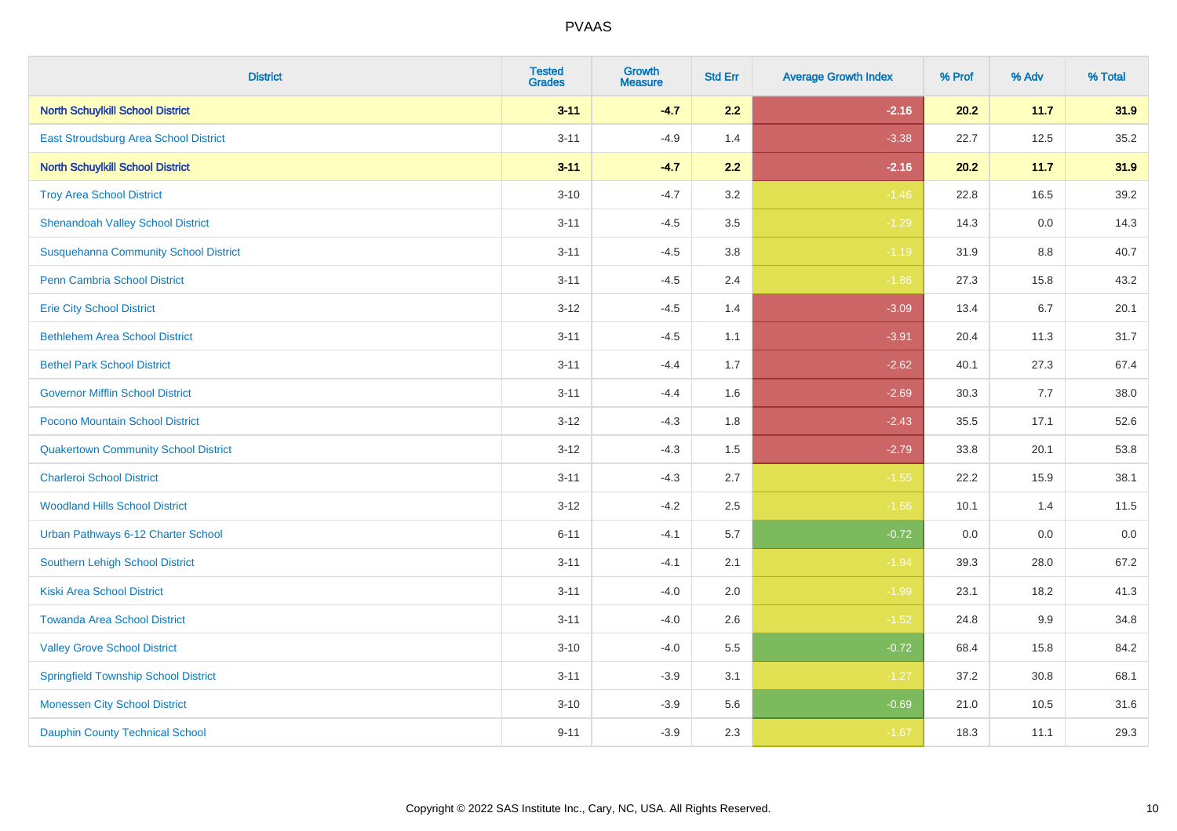| <b>District</b>                              | <b>Tested</b><br><b>Grades</b> | <b>Growth</b><br><b>Measure</b> | <b>Std Err</b> | <b>Average Growth Index</b> | % Prof | % Adv | % Total |
|----------------------------------------------|--------------------------------|---------------------------------|----------------|-----------------------------|--------|-------|---------|
| <b>North Schuylkill School District</b>      | $3 - 11$                       | $-4.7$                          | 2.2            | $-2.16$                     | 20.2   | 11.7  | 31.9    |
| East Stroudsburg Area School District        | $3 - 11$                       | $-4.9$                          | 1.4            | $-3.38$                     | 22.7   | 12.5  | 35.2    |
| <b>North Schuylkill School District</b>      | $3 - 11$                       | $-4.7$                          | 2.2            | $-2.16$                     | 20.2   | 11.7  | 31.9    |
| <b>Troy Area School District</b>             | $3 - 10$                       | $-4.7$                          | 3.2            | $-1.46$                     | 22.8   | 16.5  | 39.2    |
| <b>Shenandoah Valley School District</b>     | $3 - 11$                       | $-4.5$                          | 3.5            | $-1.29$                     | 14.3   | 0.0   | 14.3    |
| <b>Susquehanna Community School District</b> | $3 - 11$                       | $-4.5$                          | 3.8            | $-1.19$                     | 31.9   | 8.8   | 40.7    |
| Penn Cambria School District                 | $3 - 11$                       | $-4.5$                          | 2.4            | $-1.86$                     | 27.3   | 15.8  | 43.2    |
| <b>Erie City School District</b>             | $3 - 12$                       | $-4.5$                          | 1.4            | $-3.09$                     | 13.4   | 6.7   | 20.1    |
| <b>Bethlehem Area School District</b>        | $3 - 11$                       | $-4.5$                          | 1.1            | $-3.91$                     | 20.4   | 11.3  | 31.7    |
| <b>Bethel Park School District</b>           | $3 - 11$                       | $-4.4$                          | 1.7            | $-2.62$                     | 40.1   | 27.3  | 67.4    |
| <b>Governor Mifflin School District</b>      | $3 - 11$                       | $-4.4$                          | 1.6            | $-2.69$                     | 30.3   | 7.7   | 38.0    |
| Pocono Mountain School District              | $3 - 12$                       | $-4.3$                          | 1.8            | $-2.43$                     | 35.5   | 17.1  | 52.6    |
| <b>Quakertown Community School District</b>  | $3 - 12$                       | $-4.3$                          | 1.5            | $-2.79$                     | 33.8   | 20.1  | 53.8    |
| <b>Charleroi School District</b>             | $3 - 11$                       | $-4.3$                          | 2.7            | $-1.55$                     | 22.2   | 15.9  | 38.1    |
| <b>Woodland Hills School District</b>        | $3 - 12$                       | $-4.2$                          | 2.5            | $-1.66$                     | 10.1   | 1.4   | 11.5    |
| Urban Pathways 6-12 Charter School           | $6 - 11$                       | $-4.1$                          | 5.7            | $-0.72$                     | 0.0    | 0.0   | 0.0     |
| Southern Lehigh School District              | $3 - 11$                       | $-4.1$                          | 2.1            | $-1.94$                     | 39.3   | 28.0  | 67.2    |
| <b>Kiski Area School District</b>            | $3 - 11$                       | $-4.0$                          | 2.0            | $-1.99$                     | 23.1   | 18.2  | 41.3    |
| <b>Towanda Area School District</b>          | $3 - 11$                       | $-4.0$                          | 2.6            | $-1.52$                     | 24.8   | 9.9   | 34.8    |
| <b>Valley Grove School District</b>          | $3 - 10$                       | $-4.0$                          | 5.5            | $-0.72$                     | 68.4   | 15.8  | 84.2    |
| <b>Springfield Township School District</b>  | $3 - 11$                       | $-3.9$                          | 3.1            | $-1.27$                     | 37.2   | 30.8  | 68.1    |
| <b>Monessen City School District</b>         | $3 - 10$                       | $-3.9$                          | 5.6            | $-0.69$                     | 21.0   | 10.5  | 31.6    |
| <b>Dauphin County Technical School</b>       | $9 - 11$                       | $-3.9$                          | 2.3            | $-1.67$                     | 18.3   | 11.1  | 29.3    |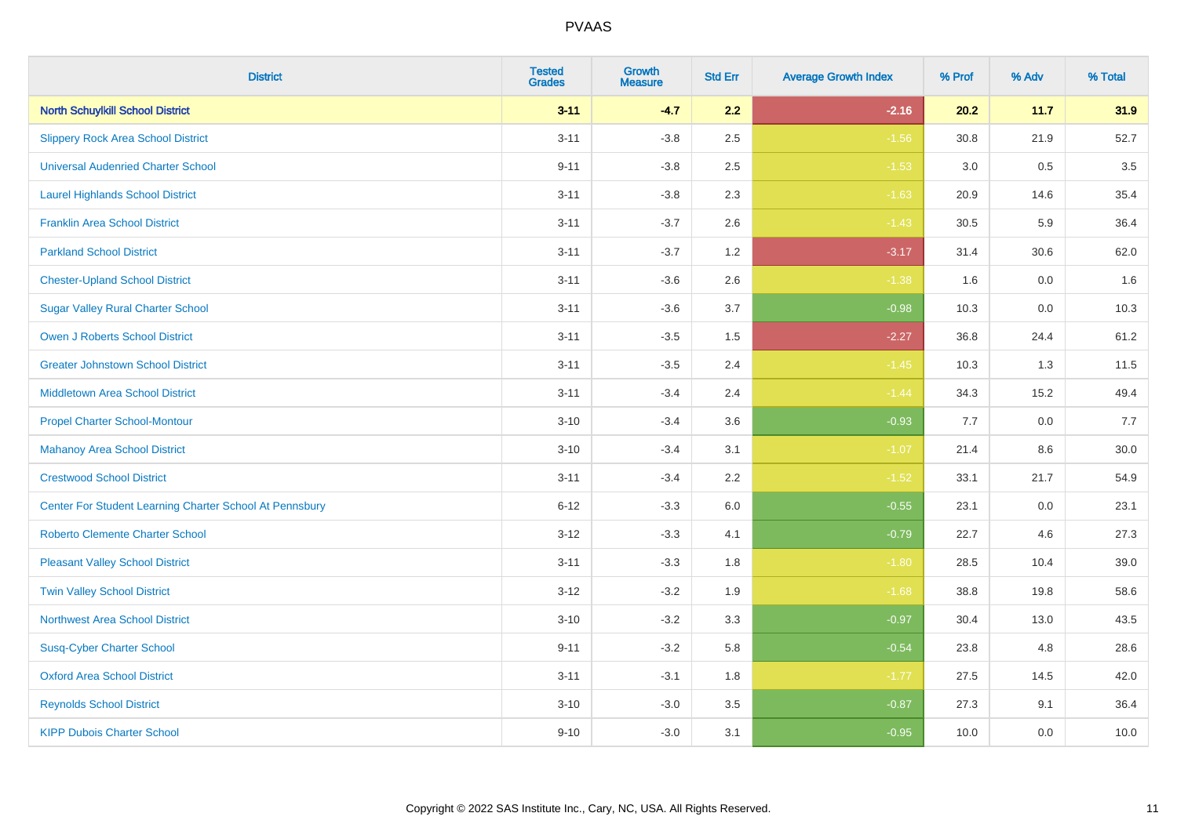| <b>District</b>                                         | <b>Tested</b><br><b>Grades</b> | Growth<br><b>Measure</b> | <b>Std Err</b> | <b>Average Growth Index</b> | % Prof | % Adv | % Total |
|---------------------------------------------------------|--------------------------------|--------------------------|----------------|-----------------------------|--------|-------|---------|
| <b>North Schuylkill School District</b>                 | $3 - 11$                       | $-4.7$                   | 2.2            | $-2.16$                     | 20.2   | 11.7  | 31.9    |
| <b>Slippery Rock Area School District</b>               | $3 - 11$                       | $-3.8$                   | 2.5            | $-1.56$                     | 30.8   | 21.9  | 52.7    |
| <b>Universal Audenried Charter School</b>               | $9 - 11$                       | $-3.8$                   | 2.5            | $-1.53$                     | 3.0    | 0.5   | 3.5     |
| <b>Laurel Highlands School District</b>                 | $3 - 11$                       | $-3.8$                   | 2.3            | $-1.63$                     | 20.9   | 14.6  | 35.4    |
| <b>Franklin Area School District</b>                    | $3 - 11$                       | $-3.7$                   | 2.6            | $-1.43$                     | 30.5   | 5.9   | 36.4    |
| <b>Parkland School District</b>                         | $3 - 11$                       | $-3.7$                   | 1.2            | $-3.17$                     | 31.4   | 30.6  | 62.0    |
| <b>Chester-Upland School District</b>                   | $3 - 11$                       | $-3.6$                   | 2.6            | $-1.38$                     | 1.6    | 0.0   | 1.6     |
| <b>Sugar Valley Rural Charter School</b>                | $3 - 11$                       | $-3.6$                   | 3.7            | $-0.98$                     | 10.3   | 0.0   | 10.3    |
| <b>Owen J Roberts School District</b>                   | $3 - 11$                       | $-3.5$                   | 1.5            | $-2.27$                     | 36.8   | 24.4  | 61.2    |
| <b>Greater Johnstown School District</b>                | $3 - 11$                       | $-3.5$                   | 2.4            | $-1.45$                     | 10.3   | 1.3   | 11.5    |
| <b>Middletown Area School District</b>                  | $3 - 11$                       | $-3.4$                   | 2.4            | $-1.44$                     | 34.3   | 15.2  | 49.4    |
| <b>Propel Charter School-Montour</b>                    | $3 - 10$                       | $-3.4$                   | 3.6            | $-0.93$                     | 7.7    | 0.0   | 7.7     |
| <b>Mahanoy Area School District</b>                     | $3 - 10$                       | $-3.4$                   | 3.1            | $-1.07$                     | 21.4   | 8.6   | 30.0    |
| <b>Crestwood School District</b>                        | $3 - 11$                       | $-3.4$                   | 2.2            | $-1.52$                     | 33.1   | 21.7  | 54.9    |
| Center For Student Learning Charter School At Pennsbury | $6 - 12$                       | $-3.3$                   | 6.0            | $-0.55$                     | 23.1   | 0.0   | 23.1    |
| <b>Roberto Clemente Charter School</b>                  | $3 - 12$                       | $-3.3$                   | 4.1            | $-0.79$                     | 22.7   | 4.6   | 27.3    |
| <b>Pleasant Valley School District</b>                  | $3 - 11$                       | $-3.3$                   | 1.8            | $-1.80$                     | 28.5   | 10.4  | 39.0    |
| <b>Twin Valley School District</b>                      | $3 - 12$                       | $-3.2$                   | 1.9            | $-1.68$                     | 38.8   | 19.8  | 58.6    |
| <b>Northwest Area School District</b>                   | $3 - 10$                       | $-3.2$                   | 3.3            | $-0.97$                     | 30.4   | 13.0  | 43.5    |
| <b>Susq-Cyber Charter School</b>                        | $9 - 11$                       | $-3.2$                   | 5.8            | $-0.54$                     | 23.8   | 4.8   | 28.6    |
| <b>Oxford Area School District</b>                      | $3 - 11$                       | $-3.1$                   | 1.8            | $-1.77$                     | 27.5   | 14.5  | 42.0    |
| <b>Reynolds School District</b>                         | $3 - 10$                       | $-3.0$                   | 3.5            | $-0.87$                     | 27.3   | 9.1   | 36.4    |
| <b>KIPP Dubois Charter School</b>                       | $9 - 10$                       | $-3.0$                   | 3.1            | $-0.95$                     | 10.0   | 0.0   | 10.0    |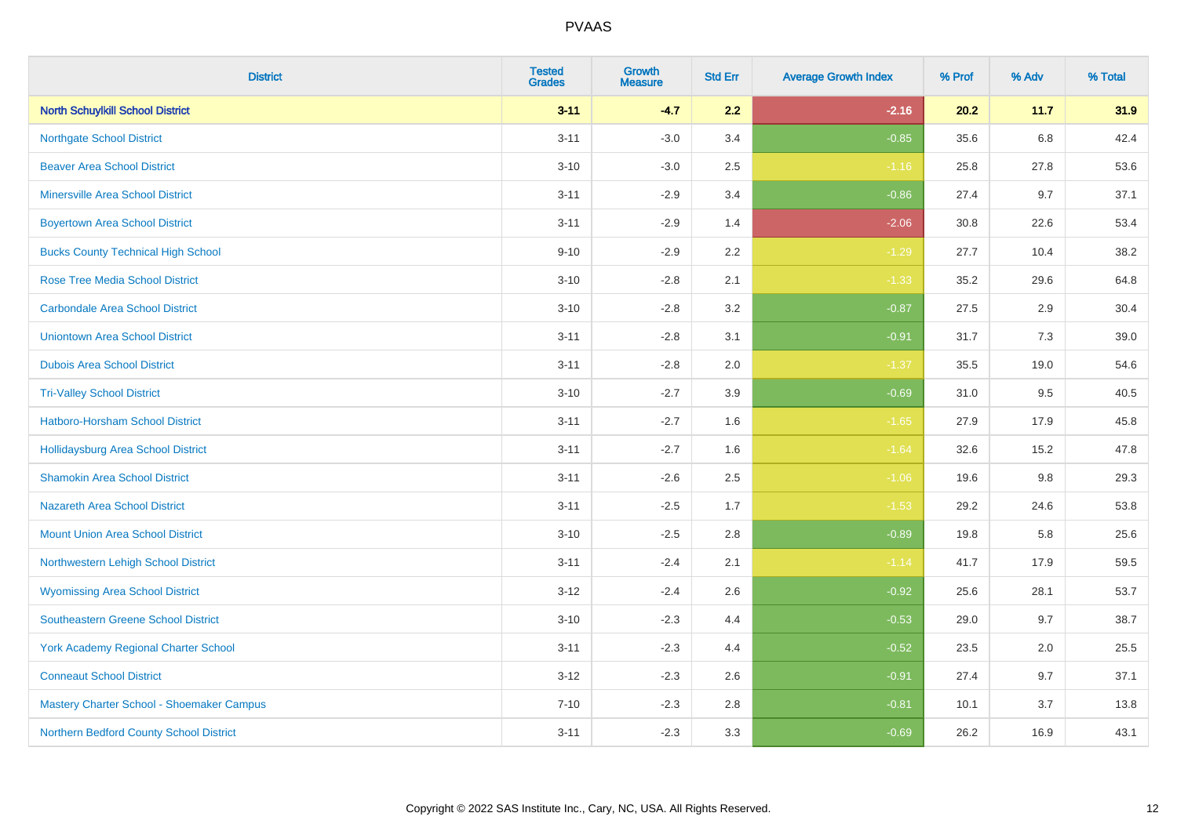| <b>District</b>                             | <b>Tested</b><br><b>Grades</b> | <b>Growth</b><br><b>Measure</b> | <b>Std Err</b> | <b>Average Growth Index</b> | % Prof | % Adv   | % Total |
|---------------------------------------------|--------------------------------|---------------------------------|----------------|-----------------------------|--------|---------|---------|
| <b>North Schuylkill School District</b>     | $3 - 11$                       | $-4.7$                          | 2.2            | $-2.16$                     | 20.2   | 11.7    | 31.9    |
| <b>Northgate School District</b>            | $3 - 11$                       | $-3.0$                          | 3.4            | $-0.85$                     | 35.6   | 6.8     | 42.4    |
| <b>Beaver Area School District</b>          | $3 - 10$                       | $-3.0$                          | 2.5            | $-1.16$                     | 25.8   | 27.8    | 53.6    |
| <b>Minersville Area School District</b>     | $3 - 11$                       | $-2.9$                          | 3.4            | $-0.86$                     | 27.4   | 9.7     | 37.1    |
| <b>Boyertown Area School District</b>       | $3 - 11$                       | $-2.9$                          | 1.4            | $-2.06$                     | 30.8   | 22.6    | 53.4    |
| <b>Bucks County Technical High School</b>   | $9 - 10$                       | $-2.9$                          | 2.2            | $-1.29$                     | 27.7   | 10.4    | 38.2    |
| <b>Rose Tree Media School District</b>      | $3 - 10$                       | $-2.8$                          | 2.1            | $-1.33$                     | 35.2   | 29.6    | 64.8    |
| <b>Carbondale Area School District</b>      | $3 - 10$                       | $-2.8$                          | 3.2            | $-0.87$                     | 27.5   | 2.9     | 30.4    |
| <b>Uniontown Area School District</b>       | $3 - 11$                       | $-2.8$                          | 3.1            | $-0.91$                     | 31.7   | 7.3     | 39.0    |
| <b>Dubois Area School District</b>          | $3 - 11$                       | $-2.8$                          | 2.0            | $-1.37$                     | 35.5   | 19.0    | 54.6    |
| <b>Tri-Valley School District</b>           | $3 - 10$                       | $-2.7$                          | 3.9            | $-0.69$                     | 31.0   | 9.5     | 40.5    |
| Hatboro-Horsham School District             | $3 - 11$                       | $-2.7$                          | 1.6            | $-1.65$                     | 27.9   | 17.9    | 45.8    |
| <b>Hollidaysburg Area School District</b>   | $3 - 11$                       | $-2.7$                          | 1.6            | $-1.64$                     | 32.6   | 15.2    | 47.8    |
| <b>Shamokin Area School District</b>        | $3 - 11$                       | $-2.6$                          | 2.5            | $-1.06$                     | 19.6   | $9.8\,$ | 29.3    |
| <b>Nazareth Area School District</b>        | $3 - 11$                       | $-2.5$                          | 1.7            | $-1.53$                     | 29.2   | 24.6    | 53.8    |
| <b>Mount Union Area School District</b>     | $3 - 10$                       | $-2.5$                          | 2.8            | $-0.89$                     | 19.8   | 5.8     | 25.6    |
| Northwestern Lehigh School District         | $3 - 11$                       | $-2.4$                          | 2.1            | $-1.14$                     | 41.7   | 17.9    | 59.5    |
| <b>Wyomissing Area School District</b>      | $3-12$                         | $-2.4$                          | 2.6            | $-0.92$                     | 25.6   | 28.1    | 53.7    |
| <b>Southeastern Greene School District</b>  | $3 - 10$                       | $-2.3$                          | 4.4            | $-0.53$                     | 29.0   | 9.7     | 38.7    |
| <b>York Academy Regional Charter School</b> | $3 - 11$                       | $-2.3$                          | 4.4            | $-0.52$                     | 23.5   | 2.0     | 25.5    |
| <b>Conneaut School District</b>             | $3 - 12$                       | $-2.3$                          | 2.6            | $-0.91$                     | 27.4   | 9.7     | 37.1    |
| Mastery Charter School - Shoemaker Campus   | $7 - 10$                       | $-2.3$                          | 2.8            | $-0.81$                     | 10.1   | 3.7     | 13.8    |
| Northern Bedford County School District     | $3 - 11$                       | $-2.3$                          | 3.3            | $-0.69$                     | 26.2   | 16.9    | 43.1    |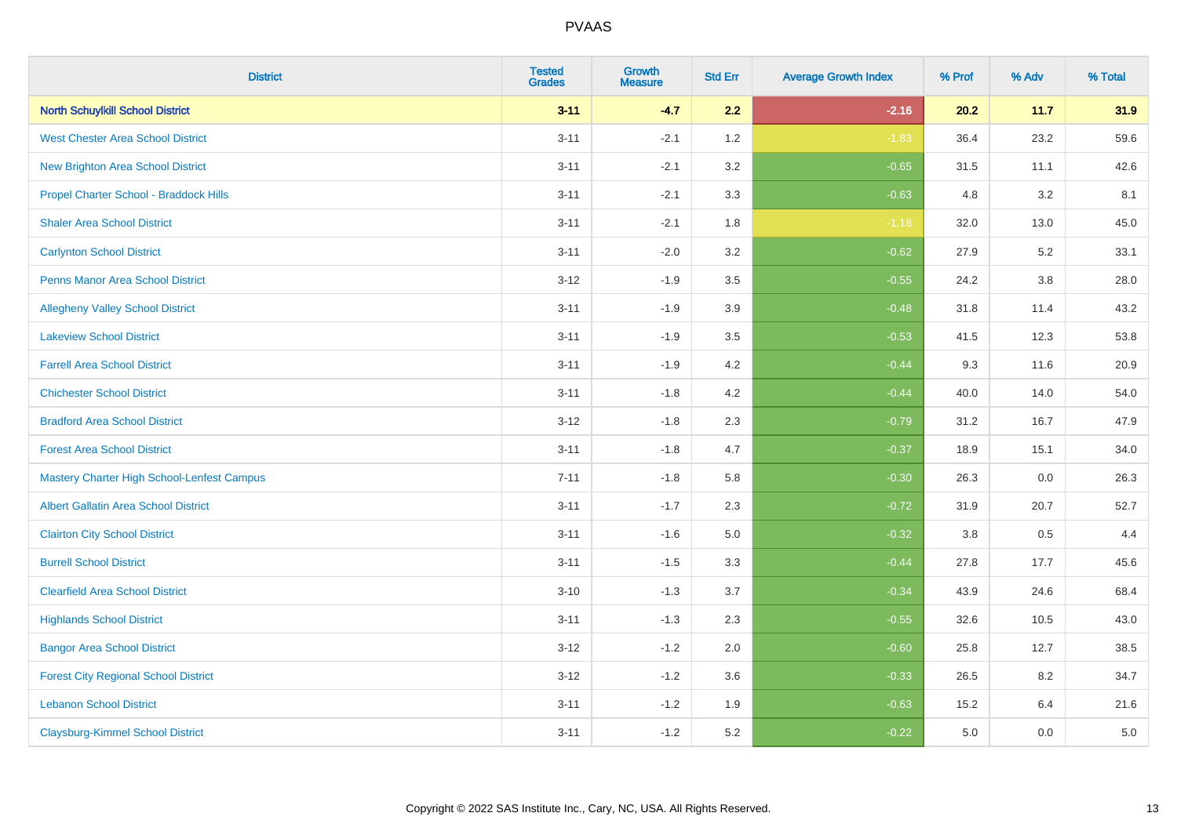| <b>District</b>                                   | <b>Tested</b><br><b>Grades</b> | <b>Growth</b><br><b>Measure</b> | <b>Std Err</b> | <b>Average Growth Index</b> | % Prof | % Adv   | % Total |
|---------------------------------------------------|--------------------------------|---------------------------------|----------------|-----------------------------|--------|---------|---------|
| <b>North Schuylkill School District</b>           | $3 - 11$                       | $-4.7$                          | 2.2            | $-2.16$                     | 20.2   | 11.7    | 31.9    |
| <b>West Chester Area School District</b>          | $3 - 11$                       | $-2.1$                          | 1.2            | $-1.83$                     | 36.4   | 23.2    | 59.6    |
| New Brighton Area School District                 | $3 - 11$                       | $-2.1$                          | 3.2            | $-0.65$                     | 31.5   | 11.1    | 42.6    |
| Propel Charter School - Braddock Hills            | $3 - 11$                       | $-2.1$                          | 3.3            | $-0.63$                     | 4.8    | 3.2     | 8.1     |
| <b>Shaler Area School District</b>                | $3 - 11$                       | $-2.1$                          | 1.8            | $-1.18$                     | 32.0   | 13.0    | 45.0    |
| <b>Carlynton School District</b>                  | $3 - 11$                       | $-2.0$                          | 3.2            | $-0.62$                     | 27.9   | 5.2     | 33.1    |
| Penns Manor Area School District                  | $3 - 12$                       | $-1.9$                          | 3.5            | $-0.55$                     | 24.2   | $3.8\,$ | 28.0    |
| <b>Allegheny Valley School District</b>           | $3 - 11$                       | $-1.9$                          | 3.9            | $-0.48$                     | 31.8   | 11.4    | 43.2    |
| <b>Lakeview School District</b>                   | $3 - 11$                       | $-1.9$                          | 3.5            | $-0.53$                     | 41.5   | 12.3    | 53.8    |
| <b>Farrell Area School District</b>               | $3 - 11$                       | $-1.9$                          | 4.2            | $-0.44$                     | 9.3    | 11.6    | 20.9    |
| <b>Chichester School District</b>                 | $3 - 11$                       | $-1.8$                          | 4.2            | $-0.44$                     | 40.0   | 14.0    | 54.0    |
| <b>Bradford Area School District</b>              | $3-12$                         | $-1.8$                          | 2.3            | $-0.79$                     | 31.2   | 16.7    | 47.9    |
| <b>Forest Area School District</b>                | $3 - 11$                       | $-1.8$                          | 4.7            | $-0.37$                     | 18.9   | 15.1    | 34.0    |
| <b>Mastery Charter High School-Lenfest Campus</b> | $7 - 11$                       | $-1.8$                          | 5.8            | $-0.30$                     | 26.3   | 0.0     | 26.3    |
| <b>Albert Gallatin Area School District</b>       | $3 - 11$                       | $-1.7$                          | 2.3            | $-0.72$                     | 31.9   | 20.7    | 52.7    |
| <b>Clairton City School District</b>              | $3 - 11$                       | $-1.6$                          | 5.0            | $-0.32$                     | 3.8    | 0.5     | 4.4     |
| <b>Burrell School District</b>                    | $3 - 11$                       | $-1.5$                          | 3.3            | $-0.44$                     | 27.8   | 17.7    | 45.6    |
| <b>Clearfield Area School District</b>            | $3 - 10$                       | $-1.3$                          | 3.7            | $-0.34$                     | 43.9   | 24.6    | 68.4    |
| <b>Highlands School District</b>                  | $3 - 11$                       | $-1.3$                          | 2.3            | $-0.55$                     | 32.6   | 10.5    | 43.0    |
| <b>Bangor Area School District</b>                | $3 - 12$                       | $-1.2$                          | 2.0            | $-0.60$                     | 25.8   | 12.7    | 38.5    |
| <b>Forest City Regional School District</b>       | $3 - 12$                       | $-1.2$                          | 3.6            | $-0.33$                     | 26.5   | 8.2     | 34.7    |
| <b>Lebanon School District</b>                    | $3 - 11$                       | $-1.2$                          | 1.9            | $-0.63$                     | 15.2   | 6.4     | 21.6    |
| <b>Claysburg-Kimmel School District</b>           | $3 - 11$                       | $-1.2$                          | 5.2            | $-0.22$                     | 5.0    | 0.0     | $5.0\,$ |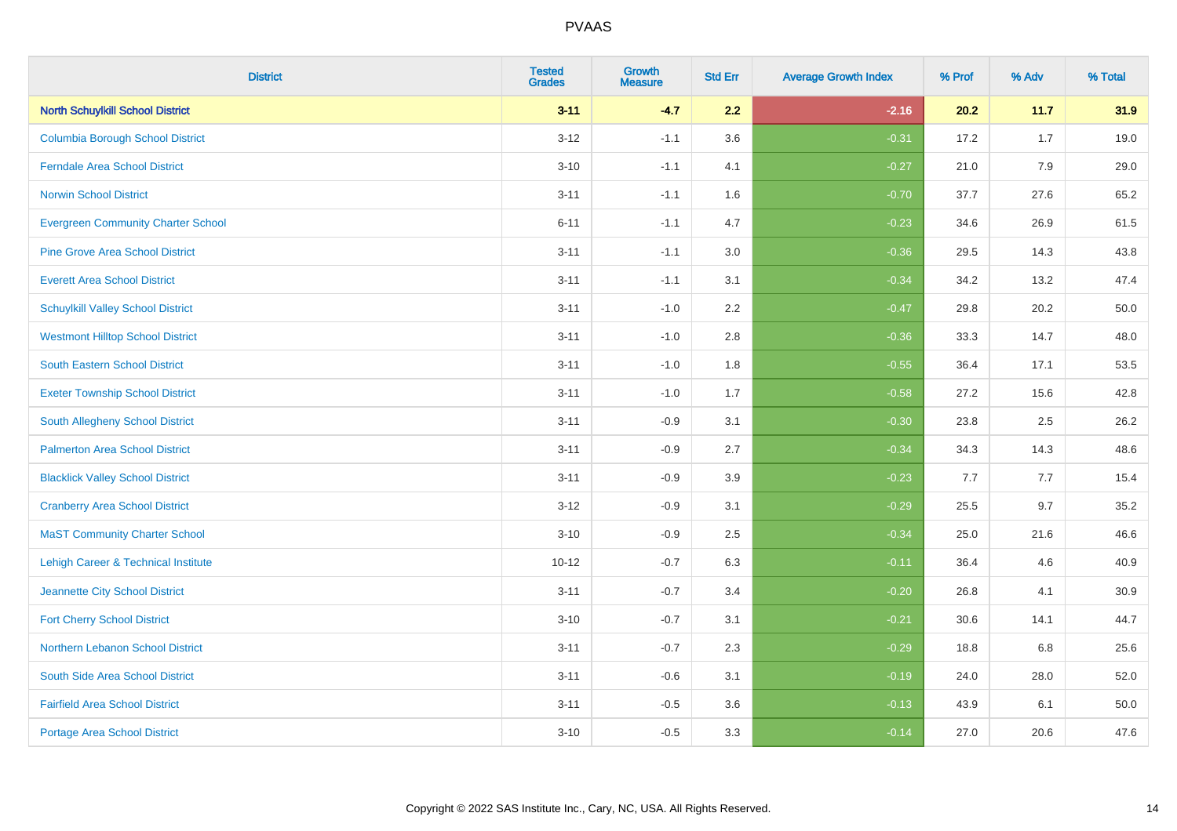| <b>District</b>                                | <b>Tested</b><br><b>Grades</b> | Growth<br><b>Measure</b> | <b>Std Err</b> | <b>Average Growth Index</b> | % Prof | % Adv | % Total |
|------------------------------------------------|--------------------------------|--------------------------|----------------|-----------------------------|--------|-------|---------|
| <b>North Schuylkill School District</b>        | $3 - 11$                       | $-4.7$                   | 2.2            | $-2.16$                     | 20.2   | 11.7  | 31.9    |
| <b>Columbia Borough School District</b>        | $3 - 12$                       | $-1.1$                   | 3.6            | $-0.31$                     | 17.2   | 1.7   | 19.0    |
| <b>Ferndale Area School District</b>           | $3 - 10$                       | $-1.1$                   | 4.1            | $-0.27$                     | 21.0   | 7.9   | 29.0    |
| <b>Norwin School District</b>                  | $3 - 11$                       | $-1.1$                   | 1.6            | $-0.70$                     | 37.7   | 27.6  | 65.2    |
| <b>Evergreen Community Charter School</b>      | $6 - 11$                       | $-1.1$                   | 4.7            | $-0.23$                     | 34.6   | 26.9  | 61.5    |
| <b>Pine Grove Area School District</b>         | $3 - 11$                       | $-1.1$                   | 3.0            | $-0.36$                     | 29.5   | 14.3  | 43.8    |
| <b>Everett Area School District</b>            | $3 - 11$                       | $-1.1$                   | 3.1            | $-0.34$                     | 34.2   | 13.2  | 47.4    |
| <b>Schuylkill Valley School District</b>       | $3 - 11$                       | $-1.0$                   | 2.2            | $-0.47$                     | 29.8   | 20.2  | 50.0    |
| <b>Westmont Hilltop School District</b>        | $3 - 11$                       | $-1.0$                   | 2.8            | $-0.36$                     | 33.3   | 14.7  | 48.0    |
| <b>South Eastern School District</b>           | $3 - 11$                       | $-1.0$                   | 1.8            | $-0.55$                     | 36.4   | 17.1  | 53.5    |
| <b>Exeter Township School District</b>         | $3 - 11$                       | $-1.0$                   | 1.7            | $-0.58$                     | 27.2   | 15.6  | 42.8    |
| <b>South Allegheny School District</b>         | $3 - 11$                       | $-0.9$                   | 3.1            | $-0.30$                     | 23.8   | 2.5   | 26.2    |
| <b>Palmerton Area School District</b>          | $3 - 11$                       | $-0.9$                   | 2.7            | $-0.34$                     | 34.3   | 14.3  | 48.6    |
| <b>Blacklick Valley School District</b>        | $3 - 11$                       | $-0.9$                   | 3.9            | $-0.23$                     | 7.7    | 7.7   | 15.4    |
| <b>Cranberry Area School District</b>          | $3 - 12$                       | $-0.9$                   | 3.1            | $-0.29$                     | 25.5   | 9.7   | 35.2    |
| <b>MaST Community Charter School</b>           | $3 - 10$                       | $-0.9$                   | 2.5            | $-0.34$                     | 25.0   | 21.6  | 46.6    |
| <b>Lehigh Career &amp; Technical Institute</b> | $10 - 12$                      | $-0.7$                   | 6.3            | $-0.11$                     | 36.4   | 4.6   | 40.9    |
| Jeannette City School District                 | $3 - 11$                       | $-0.7$                   | 3.4            | $-0.20$                     | 26.8   | 4.1   | 30.9    |
| <b>Fort Cherry School District</b>             | $3 - 10$                       | $-0.7$                   | 3.1            | $-0.21$                     | 30.6   | 14.1  | 44.7    |
| Northern Lebanon School District               | $3 - 11$                       | $-0.7$                   | 2.3            | $-0.29$                     | 18.8   | 6.8   | 25.6    |
| South Side Area School District                | $3 - 11$                       | $-0.6$                   | 3.1            | $-0.19$                     | 24.0   | 28.0  | 52.0    |
| <b>Fairfield Area School District</b>          | $3 - 11$                       | $-0.5$                   | 3.6            | $-0.13$                     | 43.9   | 6.1   | 50.0    |
| <b>Portage Area School District</b>            | $3 - 10$                       | $-0.5$                   | 3.3            | $-0.14$                     | 27.0   | 20.6  | 47.6    |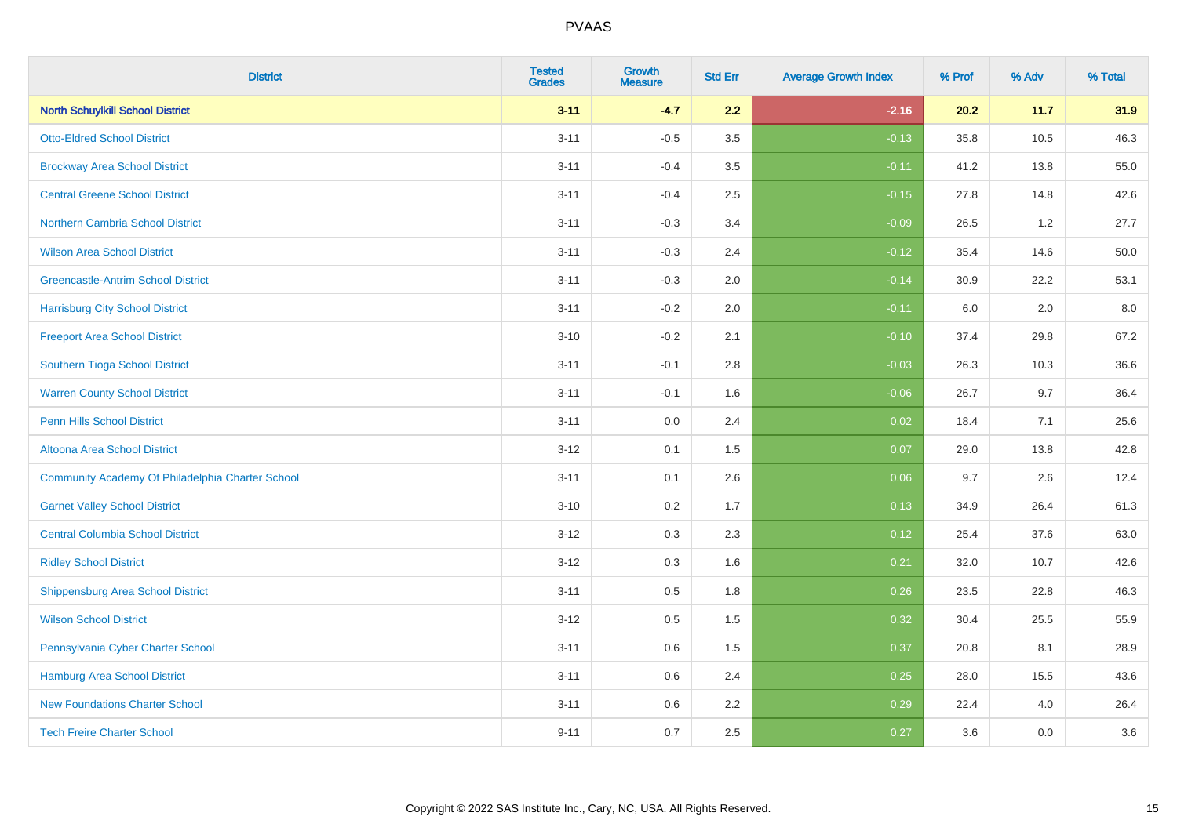| <b>District</b>                                  | <b>Tested</b><br><b>Grades</b> | Growth<br><b>Measure</b> | <b>Std Err</b> | <b>Average Growth Index</b> | % Prof | % Adv | % Total |
|--------------------------------------------------|--------------------------------|--------------------------|----------------|-----------------------------|--------|-------|---------|
| <b>North Schuylkill School District</b>          | $3 - 11$                       | $-4.7$                   | 2.2            | $-2.16$                     | 20.2   | 11.7  | 31.9    |
| <b>Otto-Eldred School District</b>               | $3 - 11$                       | $-0.5$                   | 3.5            | $-0.13$                     | 35.8   | 10.5  | 46.3    |
| <b>Brockway Area School District</b>             | $3 - 11$                       | $-0.4$                   | 3.5            | $-0.11$                     | 41.2   | 13.8  | 55.0    |
| <b>Central Greene School District</b>            | $3 - 11$                       | $-0.4$                   | 2.5            | $-0.15$                     | 27.8   | 14.8  | 42.6    |
| Northern Cambria School District                 | $3 - 11$                       | $-0.3$                   | 3.4            | $-0.09$                     | 26.5   | 1.2   | 27.7    |
| <b>Wilson Area School District</b>               | $3 - 11$                       | $-0.3$                   | 2.4            | $-0.12$                     | 35.4   | 14.6  | 50.0    |
| <b>Greencastle-Antrim School District</b>        | $3 - 11$                       | $-0.3$                   | 2.0            | $-0.14$                     | 30.9   | 22.2  | 53.1    |
| <b>Harrisburg City School District</b>           | $3 - 11$                       | $-0.2$                   | 2.0            | $-0.11$                     | 6.0    | 2.0   | 8.0     |
| <b>Freeport Area School District</b>             | $3 - 10$                       | $-0.2$                   | 2.1            | $-0.10$                     | 37.4   | 29.8  | 67.2    |
| Southern Tioga School District                   | $3 - 11$                       | $-0.1$                   | 2.8            | $-0.03$                     | 26.3   | 10.3  | 36.6    |
| <b>Warren County School District</b>             | $3 - 11$                       | $-0.1$                   | 1.6            | $-0.06$                     | 26.7   | 9.7   | 36.4    |
| <b>Penn Hills School District</b>                | $3 - 11$                       | 0.0                      | 2.4            | 0.02                        | 18.4   | 7.1   | 25.6    |
| Altoona Area School District                     | $3 - 12$                       | 0.1                      | 1.5            | 0.07                        | 29.0   | 13.8  | 42.8    |
| Community Academy Of Philadelphia Charter School | $3 - 11$                       | 0.1                      | 2.6            | 0.06                        | 9.7    | 2.6   | 12.4    |
| <b>Garnet Valley School District</b>             | $3 - 10$                       | 0.2                      | 1.7            | 0.13                        | 34.9   | 26.4  | 61.3    |
| <b>Central Columbia School District</b>          | $3 - 12$                       | 0.3                      | 2.3            | 0.12                        | 25.4   | 37.6  | 63.0    |
| <b>Ridley School District</b>                    | $3 - 12$                       | 0.3                      | 1.6            | 0.21                        | 32.0   | 10.7  | 42.6    |
| <b>Shippensburg Area School District</b>         | $3 - 11$                       | 0.5                      | 1.8            | 0.26                        | 23.5   | 22.8  | 46.3    |
| <b>Wilson School District</b>                    | $3 - 12$                       | 0.5                      | 1.5            | 0.32                        | 30.4   | 25.5  | 55.9    |
| Pennsylvania Cyber Charter School                | $3 - 11$                       | 0.6                      | 1.5            | 0.37                        | 20.8   | 8.1   | 28.9    |
| <b>Hamburg Area School District</b>              | $3 - 11$                       | 0.6                      | 2.4            | 0.25                        | 28.0   | 15.5  | 43.6    |
| <b>New Foundations Charter School</b>            | $3 - 11$                       | 0.6                      | 2.2            | 0.29                        | 22.4   | 4.0   | 26.4    |
| <b>Tech Freire Charter School</b>                | $9 - 11$                       | 0.7                      | 2.5            | 0.27                        | 3.6    | 0.0   | 3.6     |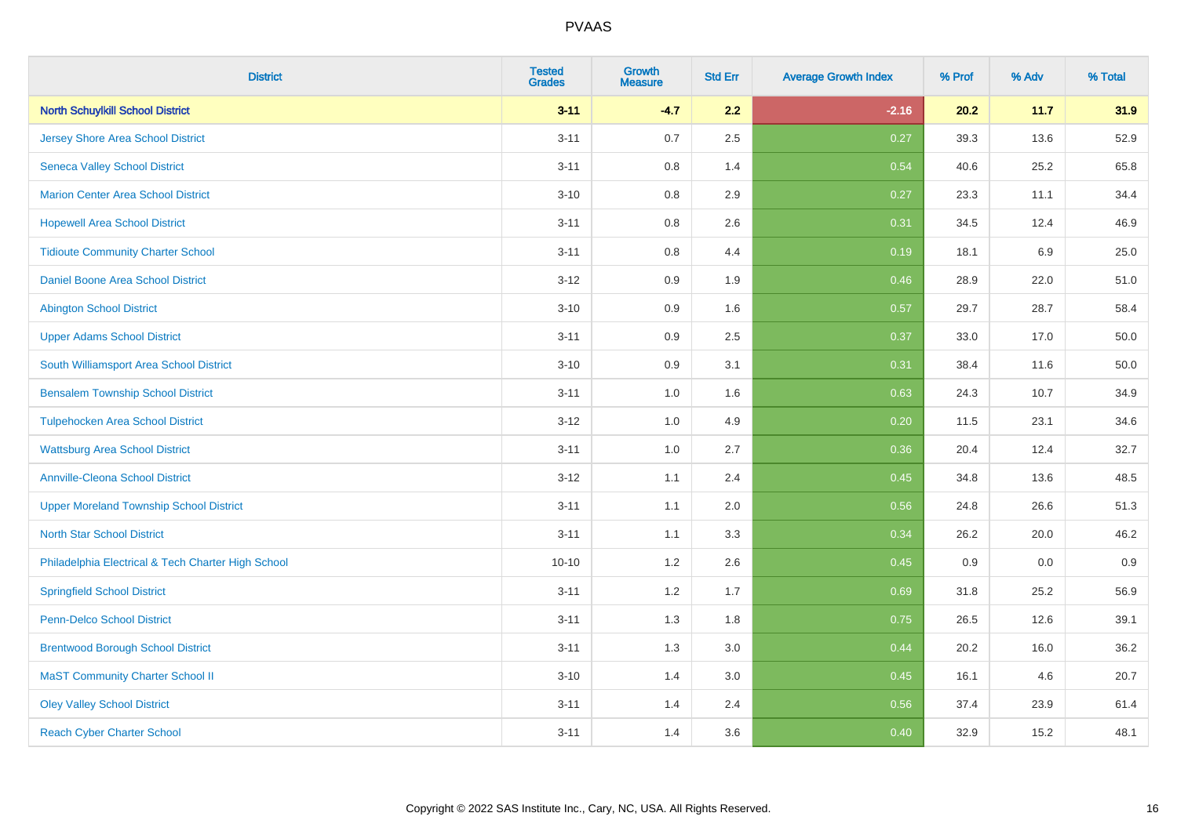| <b>District</b>                                    | <b>Tested</b><br><b>Grades</b> | <b>Growth</b><br><b>Measure</b> | <b>Std Err</b> | <b>Average Growth Index</b> | % Prof | % Adv   | % Total |
|----------------------------------------------------|--------------------------------|---------------------------------|----------------|-----------------------------|--------|---------|---------|
| <b>North Schuylkill School District</b>            | $3 - 11$                       | $-4.7$                          | 2.2            | $-2.16$                     | 20.2   | 11.7    | 31.9    |
| <b>Jersey Shore Area School District</b>           | $3 - 11$                       | 0.7                             | 2.5            | 0.27                        | 39.3   | 13.6    | 52.9    |
| <b>Seneca Valley School District</b>               | $3 - 11$                       | 0.8                             | 1.4            | 0.54                        | 40.6   | 25.2    | 65.8    |
| <b>Marion Center Area School District</b>          | $3 - 10$                       | 0.8                             | 2.9            | 0.27                        | 23.3   | 11.1    | 34.4    |
| <b>Hopewell Area School District</b>               | $3 - 11$                       | 0.8                             | 2.6            | 0.31                        | 34.5   | 12.4    | 46.9    |
| <b>Tidioute Community Charter School</b>           | $3 - 11$                       | 0.8                             | 4.4            | 0.19                        | 18.1   | $6.9\,$ | 25.0    |
| Daniel Boone Area School District                  | $3-12$                         | 0.9                             | 1.9            | 0.46                        | 28.9   | 22.0    | 51.0    |
| <b>Abington School District</b>                    | $3 - 10$                       | 0.9                             | 1.6            | 0.57                        | 29.7   | 28.7    | 58.4    |
| <b>Upper Adams School District</b>                 | $3 - 11$                       | 0.9                             | 2.5            | 0.37                        | 33.0   | 17.0    | 50.0    |
| South Williamsport Area School District            | $3 - 10$                       | 0.9                             | 3.1            | 0.31                        | 38.4   | 11.6    | 50.0    |
| <b>Bensalem Township School District</b>           | $3 - 11$                       | 1.0                             | 1.6            | 0.63                        | 24.3   | 10.7    | 34.9    |
| <b>Tulpehocken Area School District</b>            | $3 - 12$                       | 1.0                             | 4.9            | 0.20                        | 11.5   | 23.1    | 34.6    |
| <b>Wattsburg Area School District</b>              | $3 - 11$                       | $1.0\,$                         | 2.7            | 0.36                        | 20.4   | 12.4    | 32.7    |
| <b>Annville-Cleona School District</b>             | $3 - 12$                       | 1.1                             | 2.4            | 0.45                        | 34.8   | 13.6    | 48.5    |
| <b>Upper Moreland Township School District</b>     | $3 - 11$                       | 1.1                             | 2.0            | 0.56                        | 24.8   | 26.6    | 51.3    |
| <b>North Star School District</b>                  | $3 - 11$                       | 1.1                             | 3.3            | 0.34                        | 26.2   | 20.0    | 46.2    |
| Philadelphia Electrical & Tech Charter High School | $10 - 10$                      | 1.2                             | 2.6            | 0.45                        | 0.9    | 0.0     | 0.9     |
| <b>Springfield School District</b>                 | $3 - 11$                       | 1.2                             | 1.7            | 0.69                        | 31.8   | 25.2    | 56.9    |
| <b>Penn-Delco School District</b>                  | $3 - 11$                       | 1.3                             | 1.8            | 0.75                        | 26.5   | 12.6    | 39.1    |
| <b>Brentwood Borough School District</b>           | $3 - 11$                       | 1.3                             | 3.0            | 0.44                        | 20.2   | 16.0    | 36.2    |
| <b>MaST Community Charter School II</b>            | $3 - 10$                       | 1.4                             | 3.0            | 0.45                        | 16.1   | 4.6     | 20.7    |
| <b>Oley Valley School District</b>                 | $3 - 11$                       | 1.4                             | 2.4            | 0.56                        | 37.4   | 23.9    | 61.4    |
| <b>Reach Cyber Charter School</b>                  | $3 - 11$                       | 1.4                             | 3.6            | 0.40                        | 32.9   | 15.2    | 48.1    |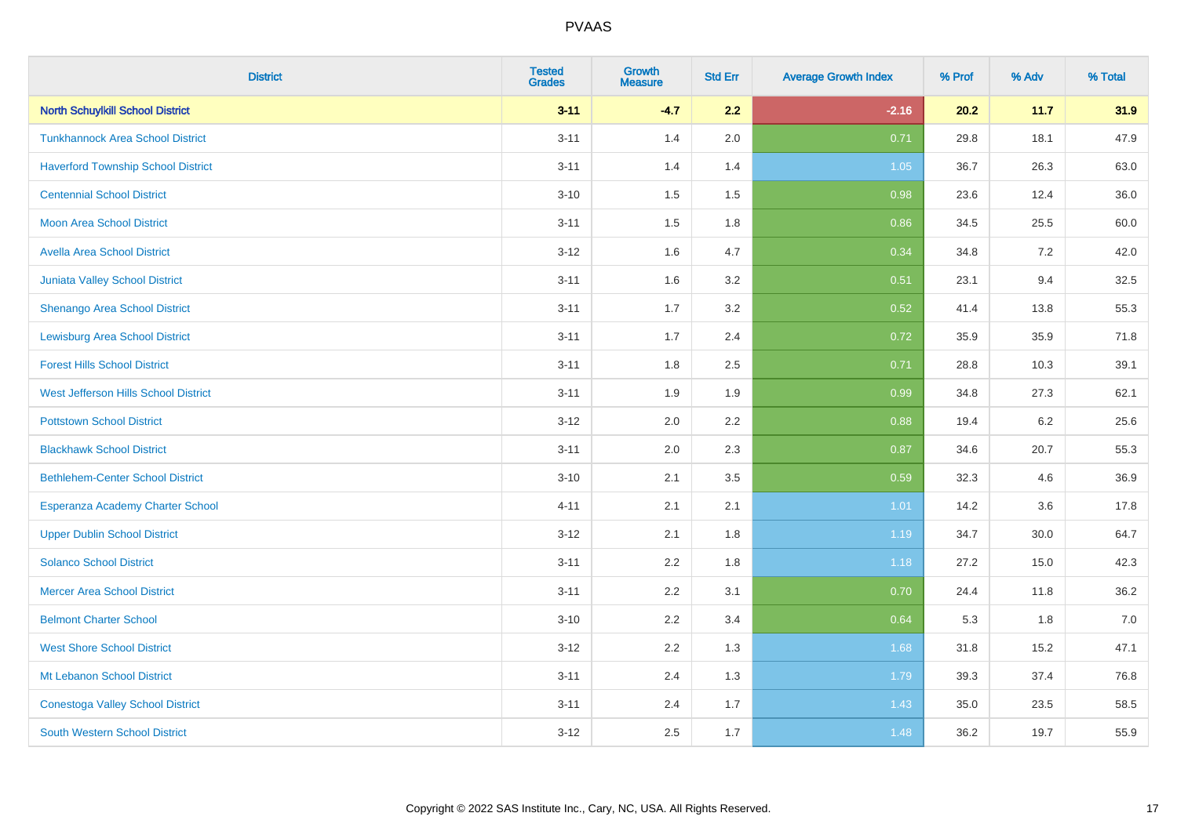| <b>District</b>                           | <b>Tested</b><br><b>Grades</b> | <b>Growth</b><br><b>Measure</b> | <b>Std Err</b> | <b>Average Growth Index</b> | % Prof | % Adv | % Total |
|-------------------------------------------|--------------------------------|---------------------------------|----------------|-----------------------------|--------|-------|---------|
| <b>North Schuylkill School District</b>   | $3 - 11$                       | $-4.7$                          | 2.2            | $-2.16$                     | 20.2   | 11.7  | 31.9    |
| <b>Tunkhannock Area School District</b>   | $3 - 11$                       | 1.4                             | 2.0            | 0.71                        | 29.8   | 18.1  | 47.9    |
| <b>Haverford Township School District</b> | $3 - 11$                       | 1.4                             | 1.4            | 1.05                        | 36.7   | 26.3  | 63.0    |
| <b>Centennial School District</b>         | $3 - 10$                       | 1.5                             | 1.5            | 0.98                        | 23.6   | 12.4  | 36.0    |
| <b>Moon Area School District</b>          | $3 - 11$                       | 1.5                             | 1.8            | 0.86                        | 34.5   | 25.5  | 60.0    |
| <b>Avella Area School District</b>        | $3 - 12$                       | 1.6                             | 4.7            | 0.34                        | 34.8   | 7.2   | 42.0    |
| <b>Juniata Valley School District</b>     | $3 - 11$                       | 1.6                             | 3.2            | 0.51                        | 23.1   | 9.4   | 32.5    |
| <b>Shenango Area School District</b>      | $3 - 11$                       | 1.7                             | 3.2            | 0.52                        | 41.4   | 13.8  | 55.3    |
| <b>Lewisburg Area School District</b>     | $3 - 11$                       | 1.7                             | 2.4            | 0.72                        | 35.9   | 35.9  | 71.8    |
| <b>Forest Hills School District</b>       | $3 - 11$                       | 1.8                             | 2.5            | 0.71                        | 28.8   | 10.3  | 39.1    |
| West Jefferson Hills School District      | $3 - 11$                       | 1.9                             | 1.9            | 0.99                        | 34.8   | 27.3  | 62.1    |
| <b>Pottstown School District</b>          | $3 - 12$                       | 2.0                             | 2.2            | 0.88                        | 19.4   | 6.2   | 25.6    |
| <b>Blackhawk School District</b>          | $3 - 11$                       | 2.0                             | 2.3            | 0.87                        | 34.6   | 20.7  | 55.3    |
| <b>Bethlehem-Center School District</b>   | $3 - 10$                       | 2.1                             | 3.5            | 0.59                        | 32.3   | 4.6   | 36.9    |
| Esperanza Academy Charter School          | $4 - 11$                       | 2.1                             | 2.1            | 1.01                        | 14.2   | 3.6   | 17.8    |
| <b>Upper Dublin School District</b>       | $3 - 12$                       | 2.1                             | 1.8            | 1.19                        | 34.7   | 30.0  | 64.7    |
| <b>Solanco School District</b>            | $3 - 11$                       | 2.2                             | 1.8            | 1.18                        | 27.2   | 15.0  | 42.3    |
| <b>Mercer Area School District</b>        | $3 - 11$                       | 2.2                             | 3.1            | 0.70                        | 24.4   | 11.8  | 36.2    |
| <b>Belmont Charter School</b>             | $3 - 10$                       | 2.2                             | 3.4            | 0.64                        | 5.3    | 1.8   | $7.0$   |
| <b>West Shore School District</b>         | $3 - 12$                       | 2.2                             | 1.3            | 1.68                        | 31.8   | 15.2  | 47.1    |
| Mt Lebanon School District                | $3 - 11$                       | 2.4                             | 1.3            | 1.79                        | 39.3   | 37.4  | 76.8    |
| <b>Conestoga Valley School District</b>   | $3 - 11$                       | 2.4                             | 1.7            | 1.43                        | 35.0   | 23.5  | 58.5    |
| <b>South Western School District</b>      | $3 - 12$                       | 2.5                             | 1.7            | 1.48                        | 36.2   | 19.7  | 55.9    |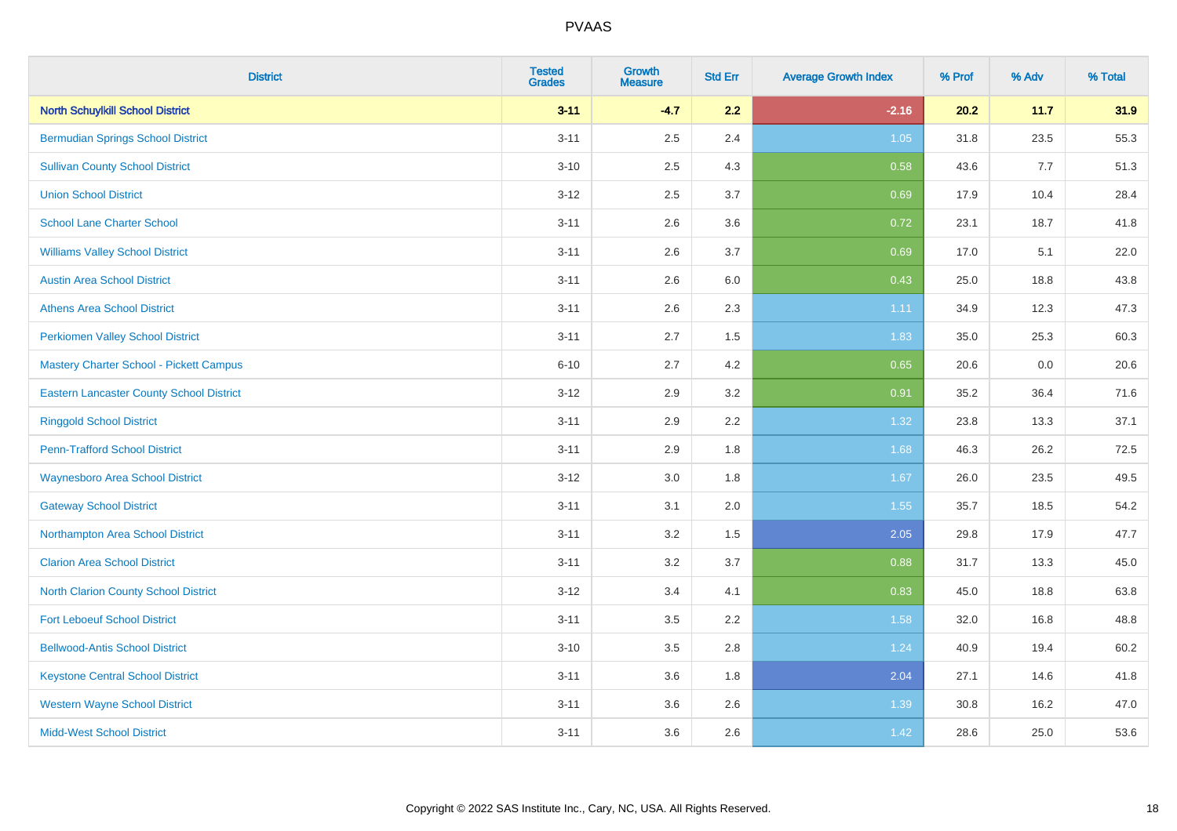| <b>District</b>                                 | <b>Tested</b><br><b>Grades</b> | <b>Growth</b><br><b>Measure</b> | <b>Std Err</b> | <b>Average Growth Index</b> | % Prof | % Adv | % Total |
|-------------------------------------------------|--------------------------------|---------------------------------|----------------|-----------------------------|--------|-------|---------|
| <b>North Schuylkill School District</b>         | $3 - 11$                       | $-4.7$                          | 2.2            | $-2.16$                     | 20.2   | 11.7  | 31.9    |
| <b>Bermudian Springs School District</b>        | $3 - 11$                       | 2.5                             | 2.4            | 1.05                        | 31.8   | 23.5  | 55.3    |
| <b>Sullivan County School District</b>          | $3 - 10$                       | 2.5                             | 4.3            | 0.58                        | 43.6   | 7.7   | 51.3    |
| <b>Union School District</b>                    | $3 - 12$                       | 2.5                             | 3.7            | 0.69                        | 17.9   | 10.4  | 28.4    |
| <b>School Lane Charter School</b>               | $3 - 11$                       | 2.6                             | 3.6            | 0.72                        | 23.1   | 18.7  | 41.8    |
| <b>Williams Valley School District</b>          | $3 - 11$                       | 2.6                             | 3.7            | 0.69                        | 17.0   | 5.1   | 22.0    |
| <b>Austin Area School District</b>              | $3 - 11$                       | 2.6                             | 6.0            | 0.43                        | 25.0   | 18.8  | 43.8    |
| <b>Athens Area School District</b>              | $3 - 11$                       | 2.6                             | 2.3            | 1.11                        | 34.9   | 12.3  | 47.3    |
| <b>Perkiomen Valley School District</b>         | $3 - 11$                       | 2.7                             | 1.5            | 1.83                        | 35.0   | 25.3  | 60.3    |
| <b>Mastery Charter School - Pickett Campus</b>  | $6 - 10$                       | 2.7                             | 4.2            | 0.65                        | 20.6   | 0.0   | 20.6    |
| <b>Eastern Lancaster County School District</b> | $3 - 12$                       | 2.9                             | 3.2            | 0.91                        | 35.2   | 36.4  | 71.6    |
| <b>Ringgold School District</b>                 | $3 - 11$                       | 2.9                             | 2.2            | 1.32                        | 23.8   | 13.3  | 37.1    |
| <b>Penn-Trafford School District</b>            | $3 - 11$                       | 2.9                             | 1.8            | 1.68                        | 46.3   | 26.2  | 72.5    |
| <b>Waynesboro Area School District</b>          | $3 - 12$                       | 3.0                             | 1.8            | 1.67                        | 26.0   | 23.5  | 49.5    |
| <b>Gateway School District</b>                  | $3 - 11$                       | 3.1                             | 2.0            | 1.55                        | 35.7   | 18.5  | 54.2    |
| Northampton Area School District                | $3 - 11$                       | 3.2                             | 1.5            | 2.05                        | 29.8   | 17.9  | 47.7    |
| <b>Clarion Area School District</b>             | $3 - 11$                       | $3.2\,$                         | 3.7            | 0.88                        | 31.7   | 13.3  | 45.0    |
| North Clarion County School District            | $3 - 12$                       | 3.4                             | 4.1            | 0.83                        | 45.0   | 18.8  | 63.8    |
| <b>Fort Leboeuf School District</b>             | $3 - 11$                       | 3.5                             | 2.2            | 1.58                        | 32.0   | 16.8  | 48.8    |
| <b>Bellwood-Antis School District</b>           | $3 - 10$                       | 3.5                             | 2.8            | 1.24                        | 40.9   | 19.4  | 60.2    |
| <b>Keystone Central School District</b>         | $3 - 11$                       | 3.6                             | 1.8            | 2.04                        | 27.1   | 14.6  | 41.8    |
| <b>Western Wayne School District</b>            | $3 - 11$                       | 3.6                             | 2.6            | 1.39                        | 30.8   | 16.2  | 47.0    |
| <b>Midd-West School District</b>                | $3 - 11$                       | 3.6                             | 2.6            | 1.42                        | 28.6   | 25.0  | 53.6    |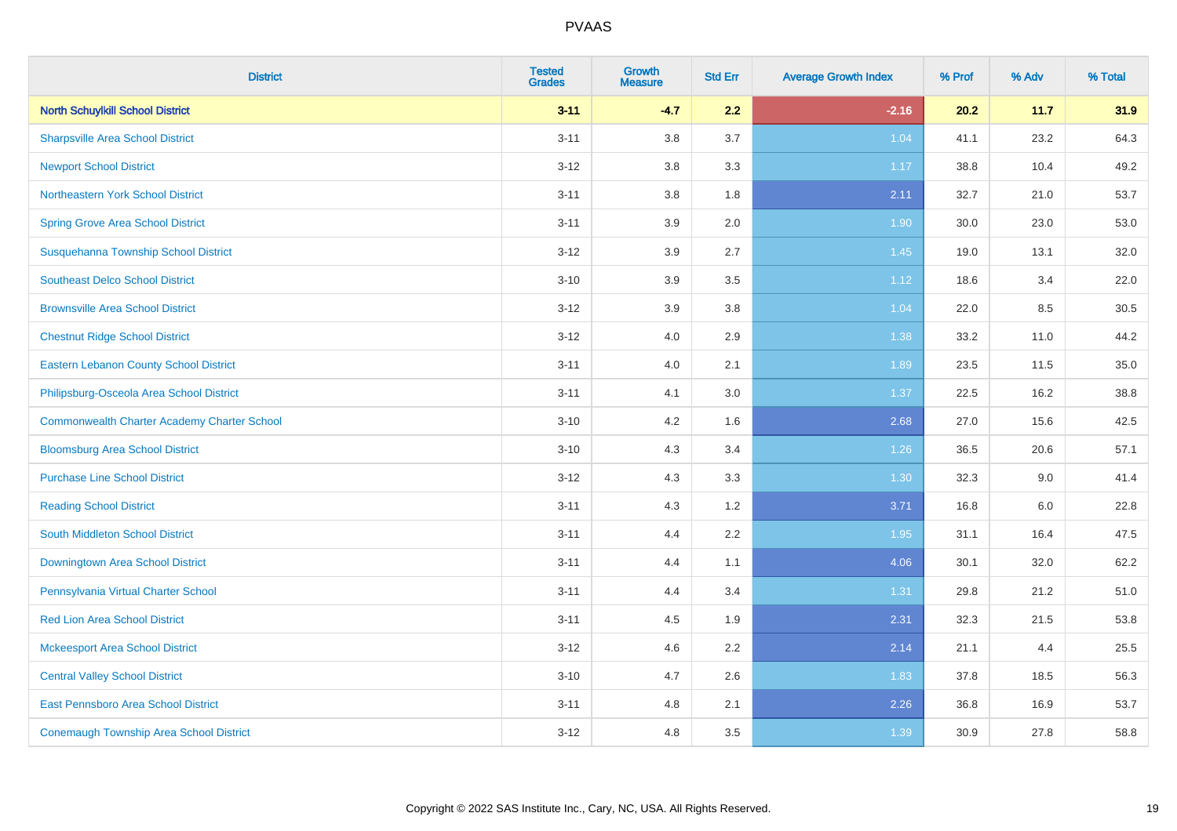| <b>District</b>                                    | <b>Tested</b><br><b>Grades</b> | <b>Growth</b><br><b>Measure</b> | <b>Std Err</b> | <b>Average Growth Index</b> | % Prof | % Adv | % Total |
|----------------------------------------------------|--------------------------------|---------------------------------|----------------|-----------------------------|--------|-------|---------|
| <b>North Schuylkill School District</b>            | $3 - 11$                       | $-4.7$                          | 2.2            | $-2.16$                     | 20.2   | 11.7  | 31.9    |
| <b>Sharpsville Area School District</b>            | $3 - 11$                       | 3.8                             | 3.7            | 1.04                        | 41.1   | 23.2  | 64.3    |
| <b>Newport School District</b>                     | $3 - 12$                       | 3.8                             | 3.3            | 1.17                        | 38.8   | 10.4  | 49.2    |
| Northeastern York School District                  | $3 - 11$                       | 3.8                             | 1.8            | 2.11                        | 32.7   | 21.0  | 53.7    |
| <b>Spring Grove Area School District</b>           | $3 - 11$                       | 3.9                             | 2.0            | 1.90                        | 30.0   | 23.0  | 53.0    |
| Susquehanna Township School District               | $3 - 12$                       | 3.9                             | 2.7            | 1.45                        | 19.0   | 13.1  | 32.0    |
| <b>Southeast Delco School District</b>             | $3 - 10$                       | 3.9                             | 3.5            | 1.12                        | 18.6   | 3.4   | 22.0    |
| <b>Brownsville Area School District</b>            | $3 - 12$                       | 3.9                             | 3.8            | 1.04                        | 22.0   | 8.5   | 30.5    |
| <b>Chestnut Ridge School District</b>              | $3 - 12$                       | 4.0                             | 2.9            | 1.38                        | 33.2   | 11.0  | 44.2    |
| <b>Eastern Lebanon County School District</b>      | $3 - 11$                       | 4.0                             | 2.1            | 1.89                        | 23.5   | 11.5  | 35.0    |
| Philipsburg-Osceola Area School District           | $3 - 11$                       | 4.1                             | 3.0            | 1.37                        | 22.5   | 16.2  | 38.8    |
| <b>Commonwealth Charter Academy Charter School</b> | $3 - 10$                       | 4.2                             | 1.6            | 2.68                        | 27.0   | 15.6  | 42.5    |
| <b>Bloomsburg Area School District</b>             | $3 - 10$                       | 4.3                             | 3.4            | 1.26                        | 36.5   | 20.6  | 57.1    |
| <b>Purchase Line School District</b>               | $3 - 12$                       | 4.3                             | 3.3            | 1.30                        | 32.3   | 9.0   | 41.4    |
| <b>Reading School District</b>                     | $3 - 11$                       | 4.3                             | 1.2            | 3.71                        | 16.8   | 6.0   | 22.8    |
| South Middleton School District                    | $3 - 11$                       | 4.4                             | 2.2            | 1.95                        | 31.1   | 16.4  | 47.5    |
| <b>Downingtown Area School District</b>            | $3 - 11$                       | 4.4                             | 1.1            | 4.06                        | 30.1   | 32.0  | 62.2    |
| Pennsylvania Virtual Charter School                | $3 - 11$                       | 4.4                             | 3.4            | 1.31                        | 29.8   | 21.2  | 51.0    |
| <b>Red Lion Area School District</b>               | $3 - 11$                       | 4.5                             | 1.9            | 2.31                        | 32.3   | 21.5  | 53.8    |
| <b>Mckeesport Area School District</b>             | $3-12$                         | 4.6                             | 2.2            | 2.14                        | 21.1   | 4.4   | 25.5    |
| <b>Central Valley School District</b>              | $3 - 10$                       | 4.7                             | 2.6            | 1.83                        | 37.8   | 18.5  | 56.3    |
| <b>East Pennsboro Area School District</b>         | $3 - 11$                       | 4.8                             | 2.1            | 2.26                        | 36.8   | 16.9  | 53.7    |
| <b>Conemaugh Township Area School District</b>     | $3-12$                         | 4.8                             | 3.5            | 1.39                        | 30.9   | 27.8  | 58.8    |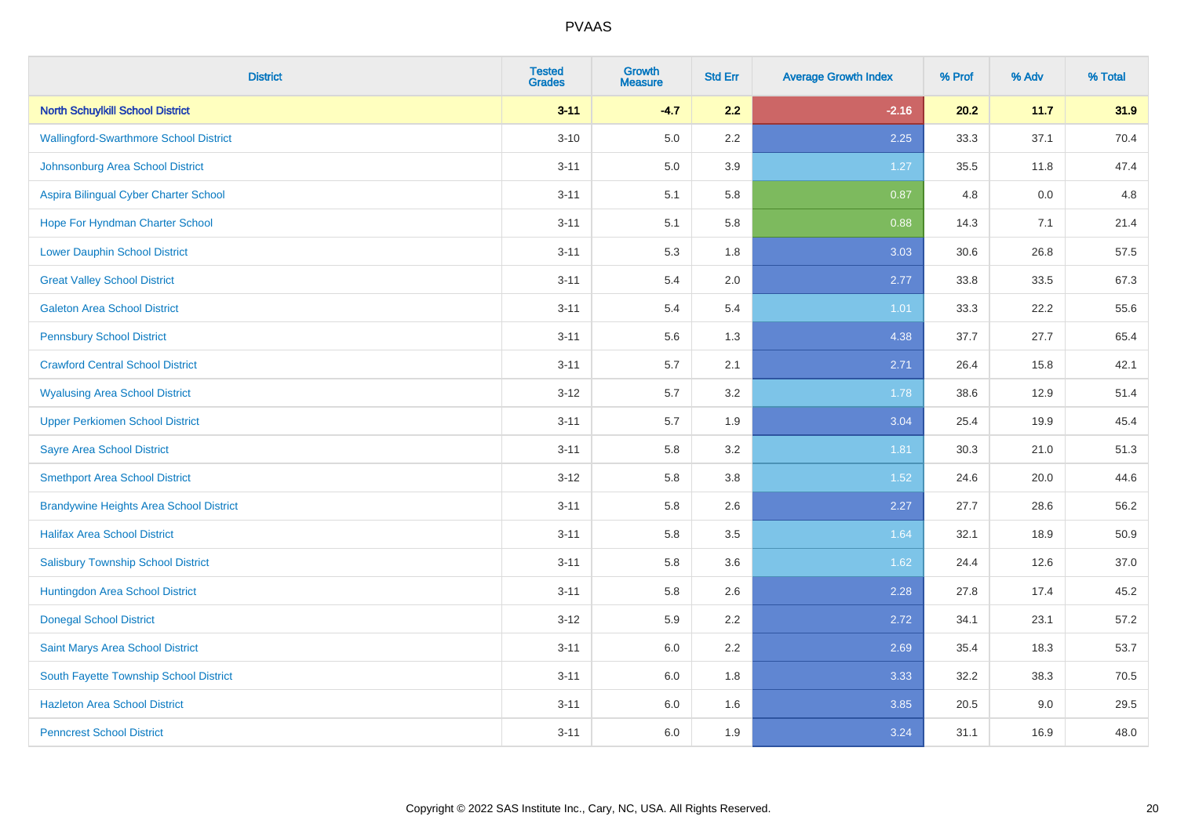| <b>District</b>                                | <b>Tested</b><br><b>Grades</b> | <b>Growth</b><br><b>Measure</b> | <b>Std Err</b> | <b>Average Growth Index</b> | % Prof | % Adv | % Total |
|------------------------------------------------|--------------------------------|---------------------------------|----------------|-----------------------------|--------|-------|---------|
| <b>North Schuylkill School District</b>        | $3 - 11$                       | $-4.7$                          | 2.2            | $-2.16$                     | 20.2   | 11.7  | 31.9    |
| <b>Wallingford-Swarthmore School District</b>  | $3 - 10$                       | 5.0                             | $2.2\,$        | 2.25                        | 33.3   | 37.1  | 70.4    |
| Johnsonburg Area School District               | $3 - 11$                       | 5.0                             | 3.9            | 1.27                        | 35.5   | 11.8  | 47.4    |
| Aspira Bilingual Cyber Charter School          | $3 - 11$                       | 5.1                             | 5.8            | 0.87                        | 4.8    | 0.0   | 4.8     |
| Hope For Hyndman Charter School                | $3 - 11$                       | 5.1                             | 5.8            | 0.88                        | 14.3   | 7.1   | 21.4    |
| <b>Lower Dauphin School District</b>           | $3 - 11$                       | 5.3                             | 1.8            | 3.03                        | 30.6   | 26.8  | 57.5    |
| <b>Great Valley School District</b>            | $3 - 11$                       | 5.4                             | 2.0            | 2.77                        | 33.8   | 33.5  | 67.3    |
| <b>Galeton Area School District</b>            | $3 - 11$                       | 5.4                             | 5.4            | 1.01                        | 33.3   | 22.2  | 55.6    |
| <b>Pennsbury School District</b>               | $3 - 11$                       | 5.6                             | 1.3            | 4.38                        | 37.7   | 27.7  | 65.4    |
| <b>Crawford Central School District</b>        | $3 - 11$                       | 5.7                             | 2.1            | 2.71                        | 26.4   | 15.8  | 42.1    |
| <b>Wyalusing Area School District</b>          | $3 - 12$                       | 5.7                             | 3.2            | 1.78                        | 38.6   | 12.9  | 51.4    |
| <b>Upper Perkiomen School District</b>         | $3 - 11$                       | 5.7                             | 1.9            | 3.04                        | 25.4   | 19.9  | 45.4    |
| <b>Sayre Area School District</b>              | $3 - 11$                       | 5.8                             | 3.2            | 1.81                        | 30.3   | 21.0  | 51.3    |
| <b>Smethport Area School District</b>          | $3 - 12$                       | 5.8                             | 3.8            | 1.52                        | 24.6   | 20.0  | 44.6    |
| <b>Brandywine Heights Area School District</b> | $3 - 11$                       | 5.8                             | 2.6            | 2.27                        | 27.7   | 28.6  | 56.2    |
| <b>Halifax Area School District</b>            | $3 - 11$                       | 5.8                             | 3.5            | 1.64                        | 32.1   | 18.9  | 50.9    |
| <b>Salisbury Township School District</b>      | $3 - 11$                       | 5.8                             | 3.6            | 1.62                        | 24.4   | 12.6  | 37.0    |
| Huntingdon Area School District                | $3 - 11$                       | 5.8                             | 2.6            | 2.28                        | 27.8   | 17.4  | 45.2    |
| <b>Donegal School District</b>                 | $3 - 12$                       | 5.9                             | 2.2            | 2.72                        | 34.1   | 23.1  | 57.2    |
| Saint Marys Area School District               | $3 - 11$                       | 6.0                             | 2.2            | 2.69                        | 35.4   | 18.3  | 53.7    |
| South Fayette Township School District         | $3 - 11$                       | 6.0                             | 1.8            | 3.33                        | 32.2   | 38.3  | 70.5    |
| <b>Hazleton Area School District</b>           | $3 - 11$                       | 6.0                             | 1.6            | 3.85                        | 20.5   | 9.0   | 29.5    |
| <b>Penncrest School District</b>               | $3 - 11$                       | 6.0                             | 1.9            | 3.24                        | 31.1   | 16.9  | 48.0    |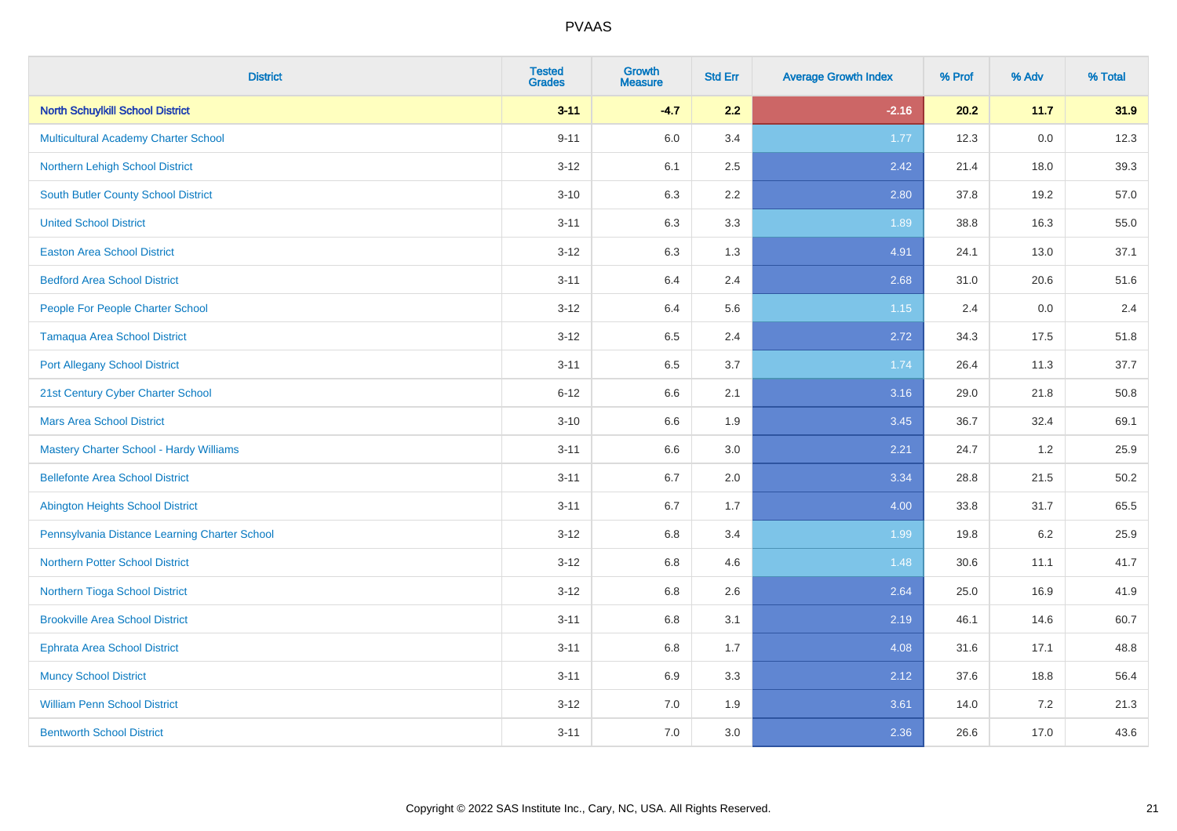| <b>District</b>                               | <b>Tested</b><br><b>Grades</b> | <b>Growth</b><br><b>Measure</b> | <b>Std Err</b> | <b>Average Growth Index</b> | % Prof | % Adv   | % Total |
|-----------------------------------------------|--------------------------------|---------------------------------|----------------|-----------------------------|--------|---------|---------|
| <b>North Schuylkill School District</b>       | $3 - 11$                       | $-4.7$                          | 2.2            | $-2.16$                     | 20.2   | 11.7    | 31.9    |
| Multicultural Academy Charter School          | $9 - 11$                       | 6.0                             | 3.4            | 1.77                        | 12.3   | $0.0\,$ | 12.3    |
| Northern Lehigh School District               | $3 - 12$                       | 6.1                             | 2.5            | 2.42                        | 21.4   | 18.0    | 39.3    |
| South Butler County School District           | $3 - 10$                       | 6.3                             | 2.2            | 2.80                        | 37.8   | 19.2    | 57.0    |
| <b>United School District</b>                 | $3 - 11$                       | 6.3                             | 3.3            | 1.89                        | 38.8   | 16.3    | 55.0    |
| <b>Easton Area School District</b>            | $3 - 12$                       | 6.3                             | 1.3            | 4.91                        | 24.1   | 13.0    | 37.1    |
| <b>Bedford Area School District</b>           | $3 - 11$                       | 6.4                             | 2.4            | 2.68                        | 31.0   | 20.6    | 51.6    |
| People For People Charter School              | $3-12$                         | 6.4                             | 5.6            | 1.15                        | 2.4    | 0.0     | 2.4     |
| <b>Tamaqua Area School District</b>           | $3-12$                         | 6.5                             | 2.4            | 2.72                        | 34.3   | 17.5    | 51.8    |
| <b>Port Allegany School District</b>          | $3 - 11$                       | 6.5                             | 3.7            | 1.74                        | 26.4   | 11.3    | 37.7    |
| 21st Century Cyber Charter School             | $6 - 12$                       | 6.6                             | 2.1            | 3.16                        | 29.0   | 21.8    | 50.8    |
| <b>Mars Area School District</b>              | $3 - 10$                       | 6.6                             | 1.9            | 3.45                        | 36.7   | 32.4    | 69.1    |
| Mastery Charter School - Hardy Williams       | $3 - 11$                       | 6.6                             | $3.0\,$        | 2.21                        | 24.7   | $1.2$   | 25.9    |
| <b>Bellefonte Area School District</b>        | $3 - 11$                       | 6.7                             | 2.0            | 3.34                        | 28.8   | 21.5    | 50.2    |
| Abington Heights School District              | $3 - 11$                       | 6.7                             | 1.7            | 4.00                        | 33.8   | 31.7    | 65.5    |
| Pennsylvania Distance Learning Charter School | $3 - 12$                       | $6.8\,$                         | 3.4            | 1.99                        | 19.8   | $6.2\,$ | 25.9    |
| <b>Northern Potter School District</b>        | $3 - 12$                       | 6.8                             | 4.6            | 1.48                        | 30.6   | 11.1    | 41.7    |
| Northern Tioga School District                | $3 - 12$                       | 6.8                             | 2.6            | 2.64                        | 25.0   | 16.9    | 41.9    |
| <b>Brookville Area School District</b>        | $3 - 11$                       | 6.8                             | 3.1            | 2.19                        | 46.1   | 14.6    | 60.7    |
| Ephrata Area School District                  | $3 - 11$                       | 6.8                             | 1.7            | 4.08                        | 31.6   | 17.1    | 48.8    |
| <b>Muncy School District</b>                  | $3 - 11$                       | 6.9                             | 3.3            | 2.12                        | 37.6   | 18.8    | 56.4    |
| <b>William Penn School District</b>           | $3-12$                         | 7.0                             | 1.9            | 3.61                        | 14.0   | $7.2\,$ | 21.3    |
| <b>Bentworth School District</b>              | $3 - 11$                       | 7.0                             | 3.0            | 2.36                        | 26.6   | 17.0    | 43.6    |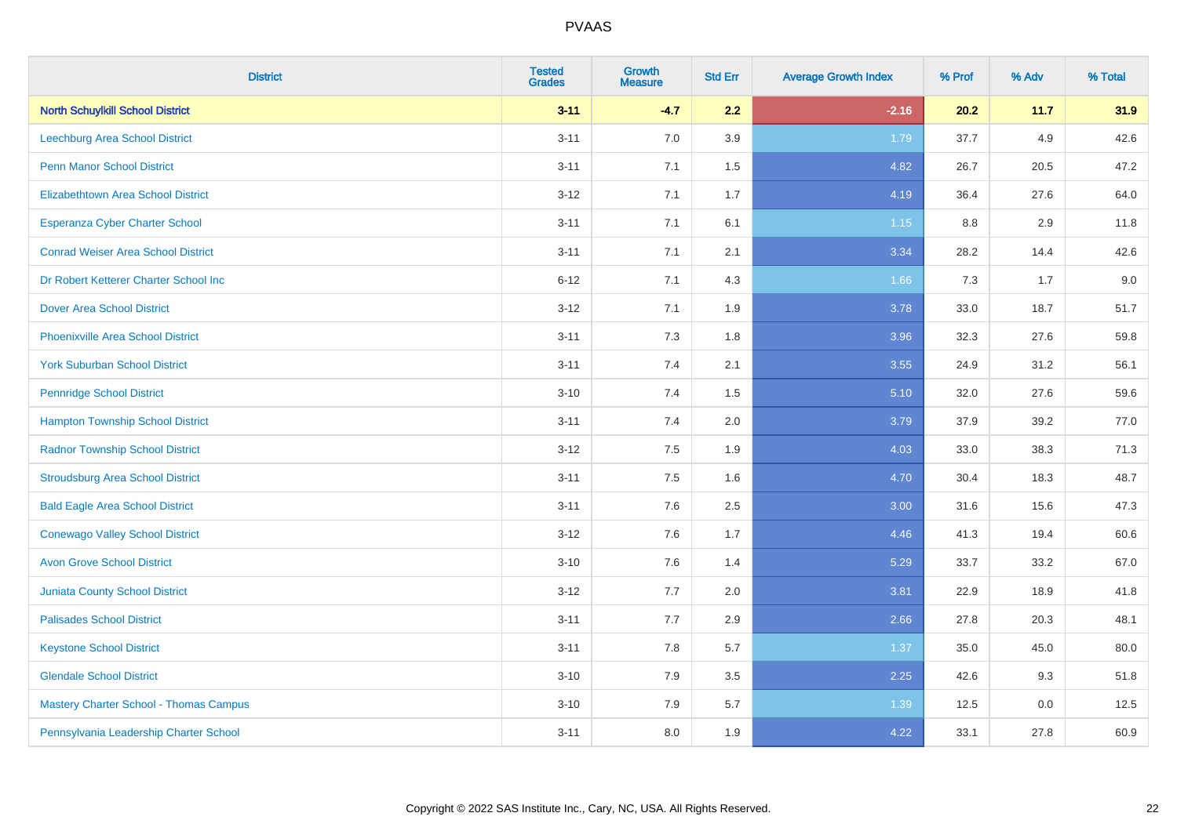| <b>District</b>                               | <b>Tested</b><br><b>Grades</b> | <b>Growth</b><br><b>Measure</b> | <b>Std Err</b> | <b>Average Growth Index</b> | % Prof | % Adv   | % Total |
|-----------------------------------------------|--------------------------------|---------------------------------|----------------|-----------------------------|--------|---------|---------|
| <b>North Schuylkill School District</b>       | $3 - 11$                       | $-4.7$                          | 2.2            | $-2.16$                     | 20.2   | 11.7    | 31.9    |
| Leechburg Area School District                | $3 - 11$                       | 7.0                             | 3.9            | 1.79                        | 37.7   | $4.9\,$ | 42.6    |
| <b>Penn Manor School District</b>             | $3 - 11$                       | 7.1                             | 1.5            | 4.82                        | 26.7   | 20.5    | 47.2    |
| <b>Elizabethtown Area School District</b>     | $3 - 12$                       | 7.1                             | 1.7            | 4.19                        | 36.4   | 27.6    | 64.0    |
| <b>Esperanza Cyber Charter School</b>         | $3 - 11$                       | 7.1                             | 6.1            | $1.15$                      | 8.8    | 2.9     | 11.8    |
| <b>Conrad Weiser Area School District</b>     | $3 - 11$                       | 7.1                             | 2.1            | 3.34                        | 28.2   | 14.4    | 42.6    |
| Dr Robert Ketterer Charter School Inc         | $6 - 12$                       | 7.1                             | 4.3            | 1.66                        | 7.3    | 1.7     | 9.0     |
| <b>Dover Area School District</b>             | $3 - 12$                       | 7.1                             | 1.9            | 3.78                        | 33.0   | 18.7    | 51.7    |
| <b>Phoenixville Area School District</b>      | $3 - 11$                       | 7.3                             | 1.8            | 3.96                        | 32.3   | 27.6    | 59.8    |
| <b>York Suburban School District</b>          | $3 - 11$                       | 7.4                             | 2.1            | 3.55                        | 24.9   | 31.2    | 56.1    |
| <b>Pennridge School District</b>              | $3 - 10$                       | 7.4                             | 1.5            | 5.10                        | 32.0   | 27.6    | 59.6    |
| <b>Hampton Township School District</b>       | $3 - 11$                       | 7.4                             | 2.0            | 3.79                        | 37.9   | 39.2    | 77.0    |
| <b>Radnor Township School District</b>        | $3 - 12$                       | 7.5                             | 1.9            | 4.03                        | 33.0   | 38.3    | 71.3    |
| <b>Stroudsburg Area School District</b>       | $3 - 11$                       | 7.5                             | 1.6            | 4.70                        | 30.4   | 18.3    | 48.7    |
| <b>Bald Eagle Area School District</b>        | $3 - 11$                       | 7.6                             | 2.5            | 3.00                        | 31.6   | 15.6    | 47.3    |
| <b>Conewago Valley School District</b>        | $3 - 12$                       | 7.6                             | 1.7            | 4.46                        | 41.3   | 19.4    | 60.6    |
| <b>Avon Grove School District</b>             | $3 - 10$                       | 7.6                             | 1.4            | 5.29                        | 33.7   | 33.2    | 67.0    |
| <b>Juniata County School District</b>         | $3 - 12$                       | 7.7                             | 2.0            | 3.81                        | 22.9   | 18.9    | 41.8    |
| <b>Palisades School District</b>              | $3 - 11$                       | 7.7                             | 2.9            | 2.66                        | 27.8   | 20.3    | 48.1    |
| <b>Keystone School District</b>               | $3 - 11$                       | 7.8                             | 5.7            | 1.37                        | 35.0   | 45.0    | 80.0    |
| <b>Glendale School District</b>               | $3 - 10$                       | 7.9                             | $3.5\,$        | 2.25                        | 42.6   | 9.3     | 51.8    |
| <b>Mastery Charter School - Thomas Campus</b> | $3 - 10$                       | 7.9                             | 5.7            | 1.39                        | 12.5   | 0.0     | 12.5    |
| Pennsylvania Leadership Charter School        | $3 - 11$                       | 8.0                             | 1.9            | 4.22                        | 33.1   | 27.8    | 60.9    |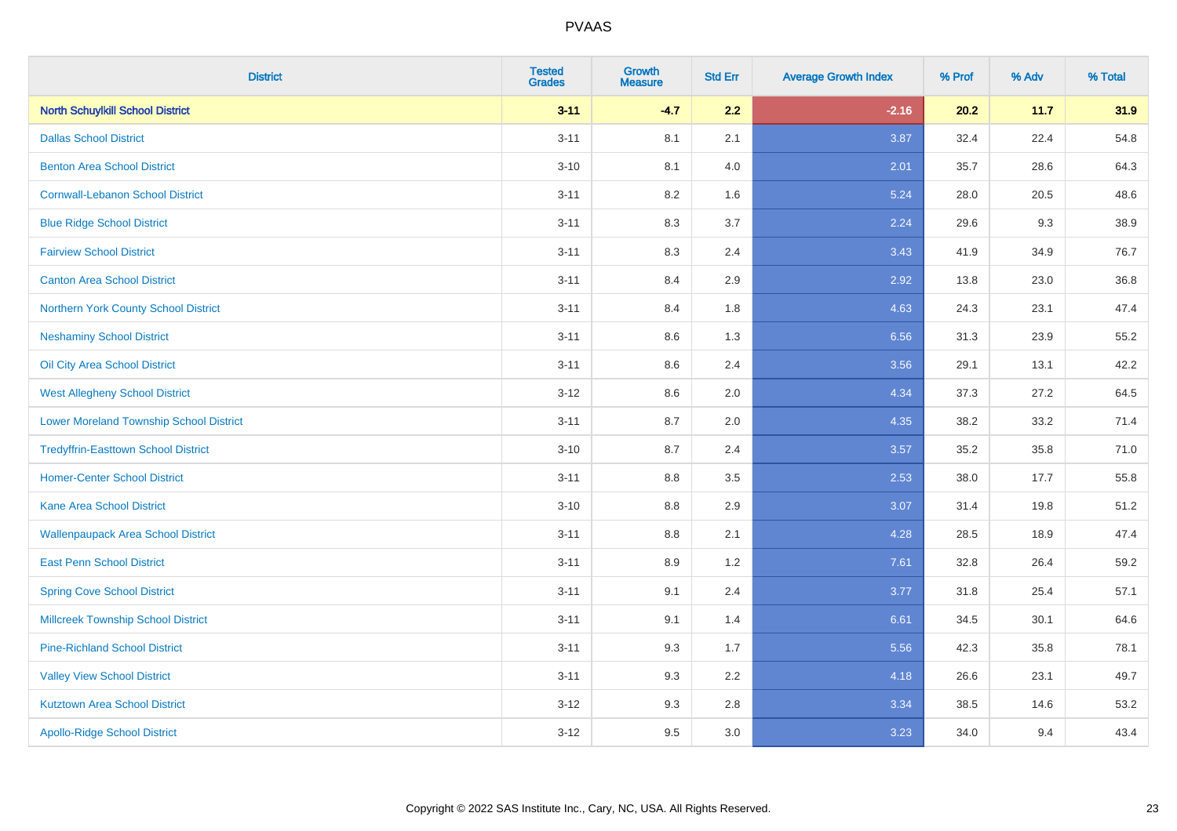| <b>District</b>                                | <b>Tested</b><br><b>Grades</b> | <b>Growth</b><br><b>Measure</b> | <b>Std Err</b> | <b>Average Growth Index</b> | % Prof | % Adv | % Total |
|------------------------------------------------|--------------------------------|---------------------------------|----------------|-----------------------------|--------|-------|---------|
| <b>North Schuylkill School District</b>        | $3 - 11$                       | $-4.7$                          | 2.2            | $-2.16$                     | 20.2   | 11.7  | 31.9    |
| <b>Dallas School District</b>                  | $3 - 11$                       | 8.1                             | 2.1            | 3.87                        | 32.4   | 22.4  | 54.8    |
| <b>Benton Area School District</b>             | $3 - 10$                       | 8.1                             | 4.0            | 2.01                        | 35.7   | 28.6  | 64.3    |
| <b>Cornwall-Lebanon School District</b>        | $3 - 11$                       | 8.2                             | 1.6            | 5.24                        | 28.0   | 20.5  | 48.6    |
| <b>Blue Ridge School District</b>              | $3 - 11$                       | 8.3                             | 3.7            | 2.24                        | 29.6   | 9.3   | 38.9    |
| <b>Fairview School District</b>                | $3 - 11$                       | 8.3                             | 2.4            | 3.43                        | 41.9   | 34.9  | 76.7    |
| <b>Canton Area School District</b>             | $3 - 11$                       | 8.4                             | 2.9            | 2.92                        | 13.8   | 23.0  | 36.8    |
| Northern York County School District           | $3 - 11$                       | 8.4                             | 1.8            | 4.63                        | 24.3   | 23.1  | 47.4    |
| <b>Neshaminy School District</b>               | $3 - 11$                       | 8.6                             | 1.3            | 6.56                        | 31.3   | 23.9  | 55.2    |
| Oil City Area School District                  | $3 - 11$                       | 8.6                             | 2.4            | 3.56                        | 29.1   | 13.1  | 42.2    |
| <b>West Allegheny School District</b>          | $3 - 12$                       | 8.6                             | 2.0            | 4.34                        | 37.3   | 27.2  | 64.5    |
| <b>Lower Moreland Township School District</b> | $3 - 11$                       | 8.7                             | 2.0            | 4.35                        | 38.2   | 33.2  | 71.4    |
| <b>Tredyffrin-Easttown School District</b>     | $3 - 10$                       | 8.7                             | 2.4            | 3.57                        | 35.2   | 35.8  | 71.0    |
| <b>Homer-Center School District</b>            | $3 - 11$                       | 8.8                             | 3.5            | 2.53                        | 38.0   | 17.7  | 55.8    |
| <b>Kane Area School District</b>               | $3 - 10$                       | 8.8                             | 2.9            | 3.07                        | 31.4   | 19.8  | 51.2    |
| <b>Wallenpaupack Area School District</b>      | $3 - 11$                       | 8.8                             | 2.1            | 4.28                        | 28.5   | 18.9  | 47.4    |
| <b>East Penn School District</b>               | $3 - 11$                       | 8.9                             | 1.2            | 7.61                        | 32.8   | 26.4  | 59.2    |
| <b>Spring Cove School District</b>             | $3 - 11$                       | 9.1                             | 2.4            | 3.77                        | 31.8   | 25.4  | 57.1    |
| <b>Millcreek Township School District</b>      | $3 - 11$                       | 9.1                             | 1.4            | 6.61                        | 34.5   | 30.1  | 64.6    |
| <b>Pine-Richland School District</b>           | $3 - 11$                       | 9.3                             | 1.7            | 5.56                        | 42.3   | 35.8  | 78.1    |
| <b>Valley View School District</b>             | $3 - 11$                       | 9.3                             | 2.2            | 4.18                        | 26.6   | 23.1  | 49.7    |
| <b>Kutztown Area School District</b>           | $3 - 12$                       | 9.3                             | 2.8            | 3.34                        | 38.5   | 14.6  | 53.2    |
| <b>Apollo-Ridge School District</b>            | $3 - 12$                       | 9.5                             | 3.0            | 3.23                        | 34.0   | 9.4   | 43.4    |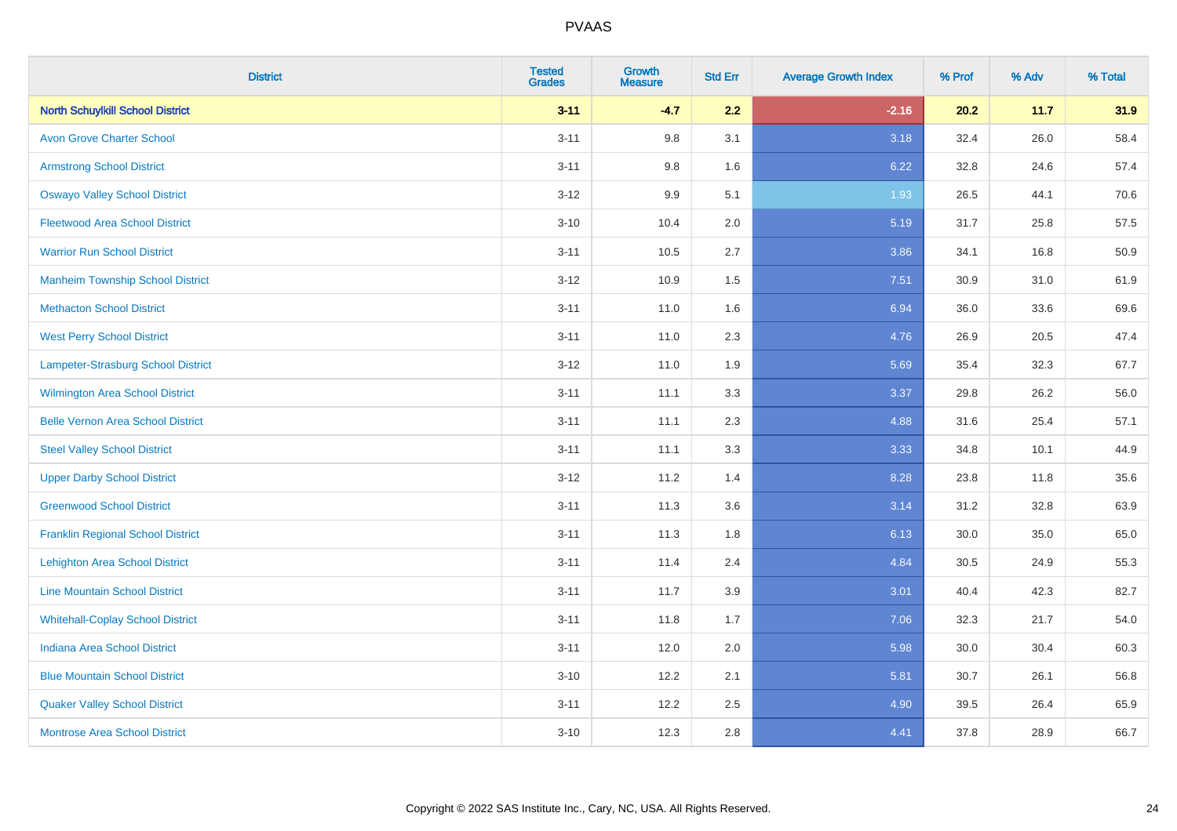| <b>District</b>                          | <b>Tested</b><br><b>Grades</b> | <b>Growth</b><br><b>Measure</b> | <b>Std Err</b> | <b>Average Growth Index</b> | % Prof | % Adv | % Total |
|------------------------------------------|--------------------------------|---------------------------------|----------------|-----------------------------|--------|-------|---------|
| <b>North Schuylkill School District</b>  | $3 - 11$                       | $-4.7$                          | 2.2            | $-2.16$                     | 20.2   | 11.7  | 31.9    |
| <b>Avon Grove Charter School</b>         | $3 - 11$                       | 9.8                             | 3.1            | 3.18                        | 32.4   | 26.0  | 58.4    |
| <b>Armstrong School District</b>         | $3 - 11$                       | 9.8                             | 1.6            | 6.22                        | 32.8   | 24.6  | 57.4    |
| <b>Oswayo Valley School District</b>     | $3 - 12$                       | 9.9                             | 5.1            | 1.93                        | 26.5   | 44.1  | 70.6    |
| <b>Fleetwood Area School District</b>    | $3 - 10$                       | 10.4                            | 2.0            | 5.19                        | 31.7   | 25.8  | 57.5    |
| <b>Warrior Run School District</b>       | $3 - 11$                       | 10.5                            | 2.7            | 3.86                        | 34.1   | 16.8  | 50.9    |
| <b>Manheim Township School District</b>  | $3-12$                         | 10.9                            | 1.5            | 7.51                        | 30.9   | 31.0  | 61.9    |
| <b>Methacton School District</b>         | $3 - 11$                       | 11.0                            | 1.6            | 6.94                        | 36.0   | 33.6  | 69.6    |
| <b>West Perry School District</b>        | $3 - 11$                       | 11.0                            | 2.3            | 4.76                        | 26.9   | 20.5  | 47.4    |
| Lampeter-Strasburg School District       | $3 - 12$                       | 11.0                            | 1.9            | 5.69                        | 35.4   | 32.3  | 67.7    |
| <b>Wilmington Area School District</b>   | $3 - 11$                       | 11.1                            | 3.3            | 3.37                        | 29.8   | 26.2  | 56.0    |
| <b>Belle Vernon Area School District</b> | $3 - 11$                       | 11.1                            | 2.3            | 4.88                        | 31.6   | 25.4  | 57.1    |
| <b>Steel Valley School District</b>      | $3 - 11$                       | 11.1                            | 3.3            | 3.33                        | 34.8   | 10.1  | 44.9    |
| <b>Upper Darby School District</b>       | $3 - 12$                       | 11.2                            | 1.4            | 8.28                        | 23.8   | 11.8  | 35.6    |
| <b>Greenwood School District</b>         | $3 - 11$                       | 11.3                            | 3.6            | 3.14                        | 31.2   | 32.8  | 63.9    |
| <b>Franklin Regional School District</b> | $3 - 11$                       | 11.3                            | 1.8            | 6.13                        | 30.0   | 35.0  | 65.0    |
| <b>Lehighton Area School District</b>    | $3 - 11$                       | 11.4                            | 2.4            | 4.84                        | 30.5   | 24.9  | 55.3    |
| <b>Line Mountain School District</b>     | $3 - 11$                       | 11.7                            | 3.9            | 3.01                        | 40.4   | 42.3  | 82.7    |
| <b>Whitehall-Coplay School District</b>  | $3 - 11$                       | 11.8                            | 1.7            | 7.06                        | 32.3   | 21.7  | 54.0    |
| <b>Indiana Area School District</b>      | $3 - 11$                       | 12.0                            | 2.0            | 5.98                        | 30.0   | 30.4  | 60.3    |
| <b>Blue Mountain School District</b>     | $3 - 10$                       | 12.2                            | 2.1            | 5.81                        | 30.7   | 26.1  | 56.8    |
| <b>Quaker Valley School District</b>     | $3 - 11$                       | 12.2                            | 2.5            | 4.90                        | 39.5   | 26.4  | 65.9    |
| <b>Montrose Area School District</b>     | $3 - 10$                       | 12.3                            | 2.8            | 4.41                        | 37.8   | 28.9  | 66.7    |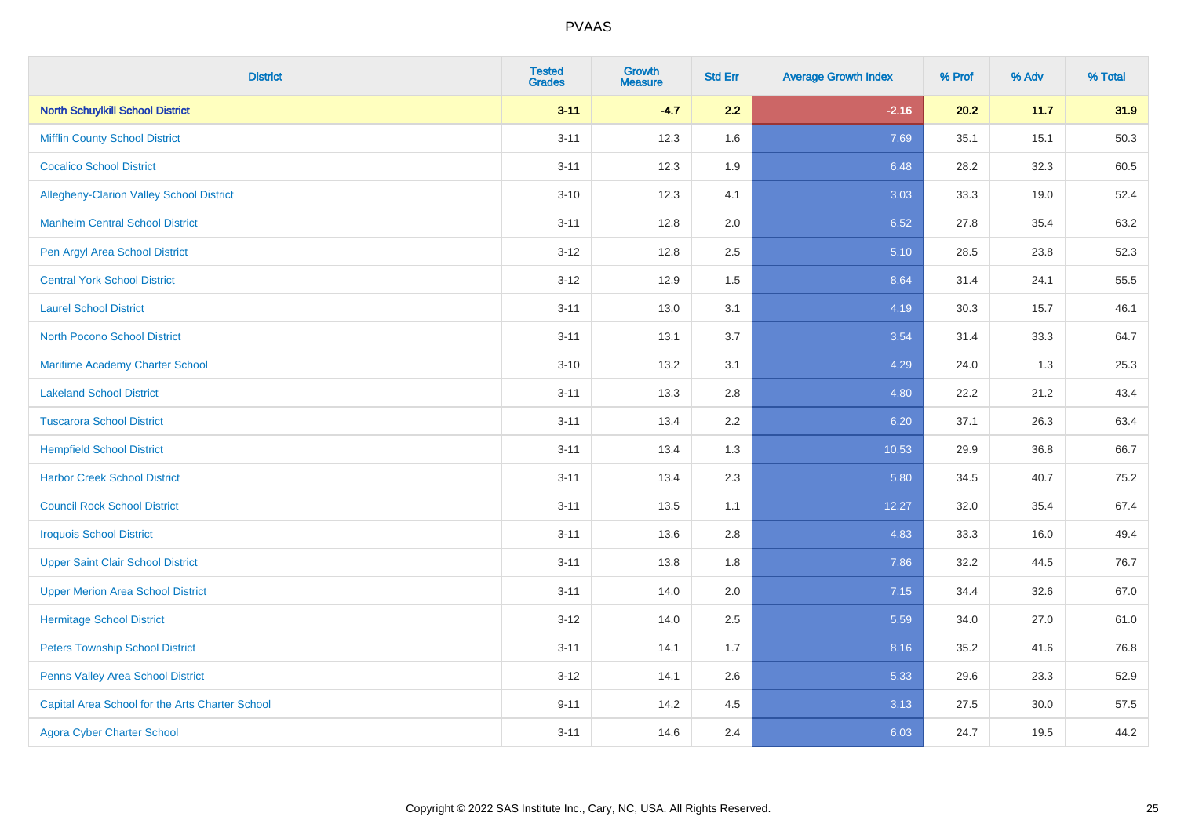| <b>District</b>                                 | <b>Tested</b><br><b>Grades</b> | <b>Growth</b><br><b>Measure</b> | <b>Std Err</b> | <b>Average Growth Index</b> | % Prof | % Adv | % Total |
|-------------------------------------------------|--------------------------------|---------------------------------|----------------|-----------------------------|--------|-------|---------|
| <b>North Schuylkill School District</b>         | $3 - 11$                       | $-4.7$                          | 2.2            | $-2.16$                     | 20.2   | 11.7  | 31.9    |
| <b>Mifflin County School District</b>           | $3 - 11$                       | 12.3                            | 1.6            | 7.69                        | 35.1   | 15.1  | 50.3    |
| <b>Cocalico School District</b>                 | $3 - 11$                       | 12.3                            | 1.9            | 6.48                        | 28.2   | 32.3  | 60.5    |
| Allegheny-Clarion Valley School District        | $3 - 10$                       | 12.3                            | 4.1            | 3.03                        | 33.3   | 19.0  | 52.4    |
| <b>Manheim Central School District</b>          | $3 - 11$                       | 12.8                            | 2.0            | 6.52                        | 27.8   | 35.4  | 63.2    |
| Pen Argyl Area School District                  | $3 - 12$                       | 12.8                            | 2.5            | 5.10                        | 28.5   | 23.8  | 52.3    |
| <b>Central York School District</b>             | $3 - 12$                       | 12.9                            | 1.5            | 8.64                        | 31.4   | 24.1  | 55.5    |
| <b>Laurel School District</b>                   | $3 - 11$                       | 13.0                            | 3.1            | 4.19                        | 30.3   | 15.7  | 46.1    |
| <b>North Pocono School District</b>             | $3 - 11$                       | 13.1                            | 3.7            | 3.54                        | 31.4   | 33.3  | 64.7    |
| <b>Maritime Academy Charter School</b>          | $3 - 10$                       | 13.2                            | 3.1            | 4.29                        | 24.0   | 1.3   | 25.3    |
| <b>Lakeland School District</b>                 | $3 - 11$                       | 13.3                            | 2.8            | 4.80                        | 22.2   | 21.2  | 43.4    |
| <b>Tuscarora School District</b>                | $3 - 11$                       | 13.4                            | 2.2            | 6.20                        | 37.1   | 26.3  | 63.4    |
| <b>Hempfield School District</b>                | $3 - 11$                       | 13.4                            | 1.3            | 10.53                       | 29.9   | 36.8  | 66.7    |
| <b>Harbor Creek School District</b>             | $3 - 11$                       | 13.4                            | 2.3            | 5.80                        | 34.5   | 40.7  | 75.2    |
| <b>Council Rock School District</b>             | $3 - 11$                       | 13.5                            | 1.1            | 12.27                       | 32.0   | 35.4  | 67.4    |
| <b>Iroquois School District</b>                 | $3 - 11$                       | 13.6                            | 2.8            | 4.83                        | 33.3   | 16.0  | 49.4    |
| <b>Upper Saint Clair School District</b>        | $3 - 11$                       | 13.8                            | 1.8            | 7.86                        | 32.2   | 44.5  | 76.7    |
| <b>Upper Merion Area School District</b>        | $3 - 11$                       | 14.0                            | 2.0            | 7.15                        | 34.4   | 32.6  | 67.0    |
| <b>Hermitage School District</b>                | $3 - 12$                       | 14.0                            | 2.5            | 5.59                        | 34.0   | 27.0  | 61.0    |
| <b>Peters Township School District</b>          | $3 - 11$                       | 14.1                            | 1.7            | 8.16                        | 35.2   | 41.6  | 76.8    |
| Penns Valley Area School District               | $3 - 12$                       | 14.1                            | 2.6            | 5.33                        | 29.6   | 23.3  | 52.9    |
| Capital Area School for the Arts Charter School | $9 - 11$                       | 14.2                            | 4.5            | 3.13                        | 27.5   | 30.0  | 57.5    |
| <b>Agora Cyber Charter School</b>               | $3 - 11$                       | 14.6                            | 2.4            | 6.03                        | 24.7   | 19.5  | 44.2    |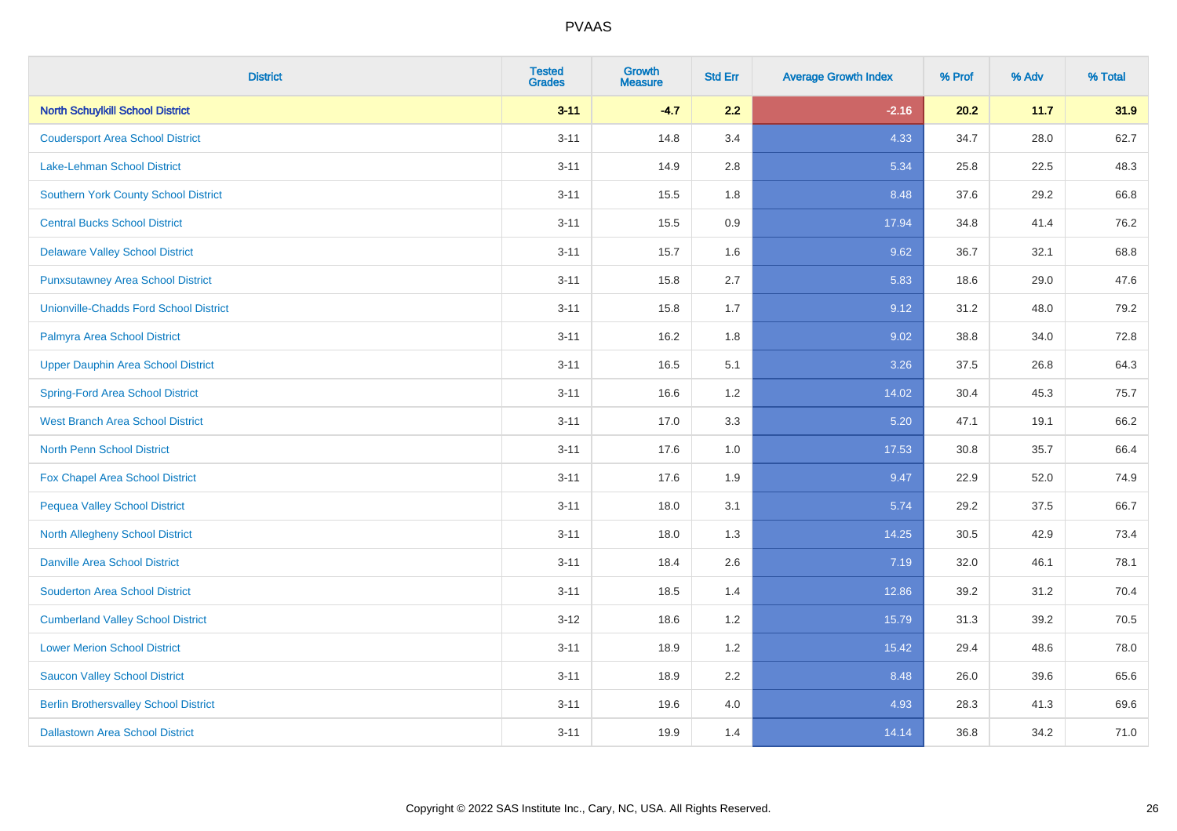| <b>District</b>                              | <b>Tested</b><br><b>Grades</b> | <b>Growth</b><br><b>Measure</b> | <b>Std Err</b> | <b>Average Growth Index</b> | % Prof | % Adv | % Total |
|----------------------------------------------|--------------------------------|---------------------------------|----------------|-----------------------------|--------|-------|---------|
| <b>North Schuylkill School District</b>      | $3 - 11$                       | $-4.7$                          | 2.2            | $-2.16$                     | 20.2   | 11.7  | 31.9    |
| <b>Coudersport Area School District</b>      | $3 - 11$                       | 14.8                            | 3.4            | 4.33                        | 34.7   | 28.0  | 62.7    |
| Lake-Lehman School District                  | $3 - 11$                       | 14.9                            | 2.8            | 5.34                        | 25.8   | 22.5  | 48.3    |
| <b>Southern York County School District</b>  | $3 - 11$                       | 15.5                            | 1.8            | 8.48                        | 37.6   | 29.2  | 66.8    |
| <b>Central Bucks School District</b>         | $3 - 11$                       | 15.5                            | 0.9            | 17.94                       | 34.8   | 41.4  | 76.2    |
| <b>Delaware Valley School District</b>       | $3 - 11$                       | 15.7                            | 1.6            | 9.62                        | 36.7   | 32.1  | 68.8    |
| <b>Punxsutawney Area School District</b>     | $3 - 11$                       | 15.8                            | 2.7            | 5.83                        | 18.6   | 29.0  | 47.6    |
| Unionville-Chadds Ford School District       | $3 - 11$                       | 15.8                            | 1.7            | 9.12                        | 31.2   | 48.0  | 79.2    |
| Palmyra Area School District                 | $3 - 11$                       | 16.2                            | 1.8            | 9.02                        | 38.8   | 34.0  | 72.8    |
| <b>Upper Dauphin Area School District</b>    | $3 - 11$                       | 16.5                            | 5.1            | 3.26                        | 37.5   | 26.8  | 64.3    |
| <b>Spring-Ford Area School District</b>      | $3 - 11$                       | 16.6                            | 1.2            | 14.02                       | 30.4   | 45.3  | 75.7    |
| <b>West Branch Area School District</b>      | $3 - 11$                       | 17.0                            | 3.3            | 5.20                        | 47.1   | 19.1  | 66.2    |
| North Penn School District                   | $3 - 11$                       | 17.6                            | 1.0            | 17.53                       | 30.8   | 35.7  | 66.4    |
| <b>Fox Chapel Area School District</b>       | $3 - 11$                       | 17.6                            | 1.9            | 9.47                        | 22.9   | 52.0  | 74.9    |
| <b>Pequea Valley School District</b>         | $3 - 11$                       | 18.0                            | 3.1            | 5.74                        | 29.2   | 37.5  | 66.7    |
| <b>North Allegheny School District</b>       | $3 - 11$                       | 18.0                            | 1.3            | 14.25                       | 30.5   | 42.9  | 73.4    |
| <b>Danville Area School District</b>         | $3 - 11$                       | 18.4                            | 2.6            | 7.19                        | 32.0   | 46.1  | 78.1    |
| <b>Souderton Area School District</b>        | $3 - 11$                       | 18.5                            | 1.4            | 12.86                       | 39.2   | 31.2  | 70.4    |
| <b>Cumberland Valley School District</b>     | $3 - 12$                       | 18.6                            | 1.2            | 15.79                       | 31.3   | 39.2  | 70.5    |
| <b>Lower Merion School District</b>          | $3 - 11$                       | 18.9                            | 1.2            | 15.42                       | 29.4   | 48.6  | 78.0    |
| <b>Saucon Valley School District</b>         | $3 - 11$                       | 18.9                            | 2.2            | 8.48                        | 26.0   | 39.6  | 65.6    |
| <b>Berlin Brothersvalley School District</b> | $3 - 11$                       | 19.6                            | 4.0            | 4.93                        | 28.3   | 41.3  | 69.6    |
| <b>Dallastown Area School District</b>       | $3 - 11$                       | 19.9                            | 1.4            | 14.14                       | 36.8   | 34.2  | 71.0    |